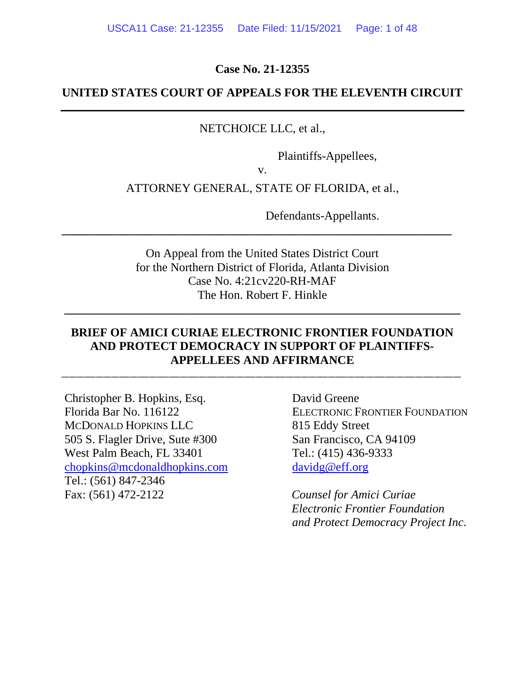**Case No. 21-12355**

# **UNITED STATES COURT OF APPEALS FOR THE ELEVENTH CIRCUIT**

## NETCHOICE LLC, et al.,

Plaintiffs-Appellees,

v.

## ATTORNEY GENERAL, STATE OF FLORIDA, et al.,

Defendants-Appellants.

On Appeal from the United States District Court for the Northern District of Florida, Atlanta Division Case No. 4:21cv220-RH-MAF The Hon. Robert F. Hinkle

**\_\_\_\_\_\_\_\_\_\_\_\_\_\_\_\_\_\_\_\_\_\_\_\_\_\_\_\_\_\_\_\_\_\_\_\_\_\_\_\_\_\_\_\_\_\_\_\_\_\_\_\_\_\_\_\_\_\_\_\_\_\_\_\_\_\_**

**\_\_\_\_\_\_\_\_\_\_\_\_\_\_\_\_\_\_\_\_\_\_\_\_\_\_\_\_\_\_\_\_\_\_\_\_\_\_\_\_\_\_\_\_\_\_\_\_\_\_\_\_\_\_\_\_\_\_\_\_\_\_\_\_\_**

# **BRIEF OF AMICI CURIAE ELECTRONIC FRONTIER FOUNDATION AND PROTECT DEMOCRACY IN SUPPORT OF PLAINTIFFS-APPELLEES AND AFFIRMANCE**

\_\_\_\_\_\_\_\_\_\_\_\_\_\_\_\_\_\_\_\_\_\_\_\_\_\_\_\_\_\_\_\_\_\_\_\_\_\_\_\_\_\_\_\_\_\_\_\_\_\_\_\_\_\_\_\_\_\_\_\_\_\_\_\_\_\_\_\_\_\_\_\_\_\_\_\_\_\_\_\_\_\_\_\_\_\_\_\_\_\_\_\_\_\_\_\_\_\_\_\_\_\_\_\_\_

Christopher B. Hopkins, Esq. Florida Bar No. 116122 MCDONALD HOPKINS LLC 505 S. Flagler Drive, Sute #300 West Palm Beach, FL 33401 [chopkins@mcdonaldhopkins.com](mailto:chopkins@mcdonaldhopkins.com) Tel.: (561) 847-2346 Fax: (561) 472-2122

David Greene ELECTRONIC FRONTIER FOUNDATION 815 Eddy Street San Francisco, CA 94109 Tel.: (415) 436-9333 [davidg@eff.org](mailto:davidg@eff.org)

*Counsel for Amici Curiae Electronic Frontier Foundation and Protect Democracy Project Inc.*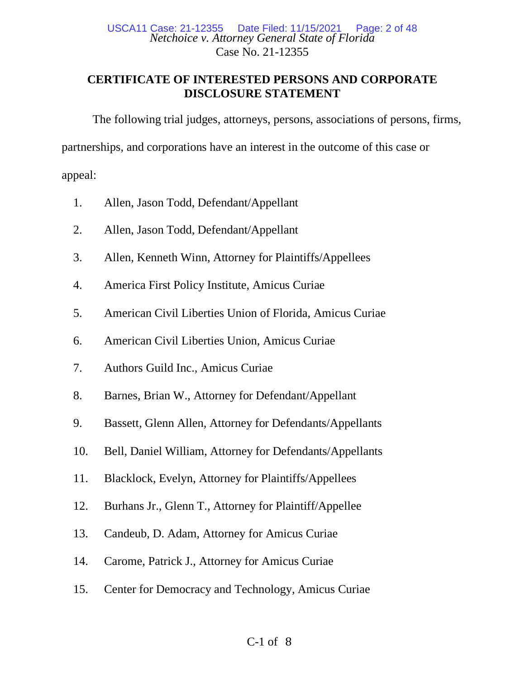## *Netchoice v. Attorney General State of Florida* Case No. 21-12355 Date Filed: 11/15/2021 Page: 2 of 48

# **CERTIFICATE OF INTERESTED PERSONS AND CORPORATE DISCLOSURE STATEMENT**

The following trial judges, attorneys, persons, associations of persons, firms,

partnerships, and corporations have an interest in the outcome of this case or

appeal:

- 1. Allen, Jason Todd, Defendant/Appellant
- 2. Allen, Jason Todd, Defendant/Appellant
- 3. Allen, Kenneth Winn, Attorney for Plaintiffs/Appellees
- 4. America First Policy Institute, Amicus Curiae
- 5. American Civil Liberties Union of Florida, Amicus Curiae
- 6. American Civil Liberties Union, Amicus Curiae
- 7. Authors Guild Inc., Amicus Curiae
- 8. Barnes, Brian W., Attorney for Defendant/Appellant
- 9. Bassett, Glenn Allen, Attorney for Defendants/Appellants
- 10. Bell, Daniel William, Attorney for Defendants/Appellants
- 11. Blacklock, Evelyn, Attorney for Plaintiffs/Appellees
- 12. Burhans Jr., Glenn T., Attorney for Plaintiff/Appellee
- 13. Candeub, D. Adam, Attorney for Amicus Curiae
- 14. Carome, Patrick J., Attorney for Amicus Curiae
- 15. Center for Democracy and Technology, Amicus Curiae

# C-1 of 8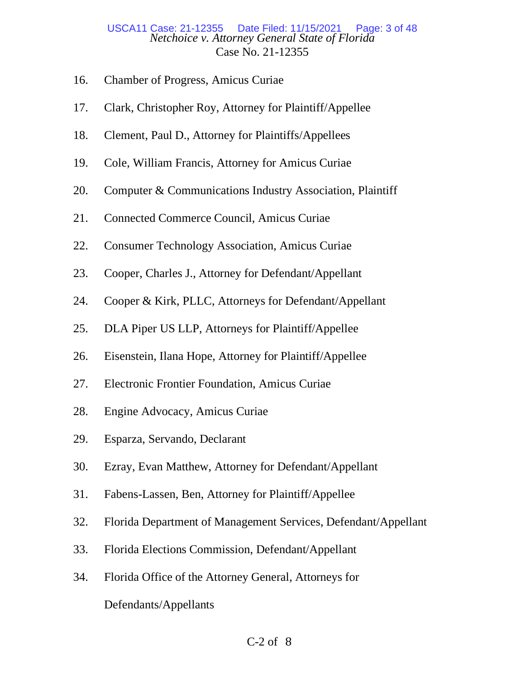## *Netchoice v. Attorney General State of Florida* Case No. 21-12355 Date Filed: 11/15/2021 Page: 3 of 48

- 16. Chamber of Progress, Amicus Curiae
- 17. Clark, Christopher Roy, Attorney for Plaintiff/Appellee
- 18. Clement, Paul D., Attorney for Plaintiffs/Appellees
- 19. Cole, William Francis, Attorney for Amicus Curiae
- 20. Computer & Communications Industry Association, Plaintiff
- 21. Connected Commerce Council, Amicus Curiae
- 22. Consumer Technology Association, Amicus Curiae
- 23. Cooper, Charles J., Attorney for Defendant/Appellant
- 24. Cooper & Kirk, PLLC, Attorneys for Defendant/Appellant
- 25. DLA Piper US LLP, Attorneys for Plaintiff/Appellee
- 26. Eisenstein, Ilana Hope, Attorney for Plaintiff/Appellee
- 27. Electronic Frontier Foundation, Amicus Curiae
- 28. Engine Advocacy, Amicus Curiae
- 29. Esparza, Servando, Declarant
- 30. Ezray, Evan Matthew, Attorney for Defendant/Appellant
- 31. Fabens-Lassen, Ben, Attorney for Plaintiff/Appellee
- 32. Florida Department of Management Services, Defendant/Appellant
- 33. Florida Elections Commission, Defendant/Appellant
- 34. Florida Office of the Attorney General, Attorneys for Defendants/Appellants

## $C-2$  of  $8$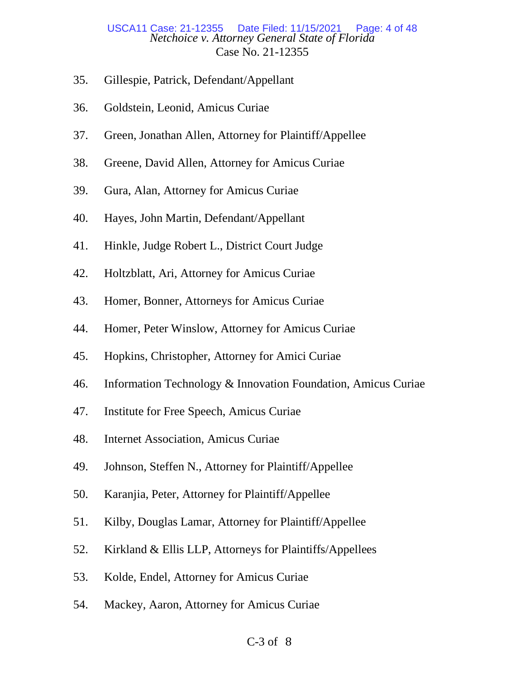## *Netchoice v. Attorney General State of Florida* Case No. 21-12355 USCA11 Case: 21-12355

- 35. Gillespie, Patrick, Defendant/Appellant
- 36. Goldstein, Leonid, Amicus Curiae
- 37. Green, Jonathan Allen, Attorney for Plaintiff/Appellee
- 38. Greene, David Allen, Attorney for Amicus Curiae
- 39. Gura, Alan, Attorney for Amicus Curiae
- 40. Hayes, John Martin, Defendant/Appellant
- 41. Hinkle, Judge Robert L., District Court Judge
- 42. Holtzblatt, Ari, Attorney for Amicus Curiae
- 43. Homer, Bonner, Attorneys for Amicus Curiae
- 44. Homer, Peter Winslow, Attorney for Amicus Curiae
- 45. Hopkins, Christopher, Attorney for Amici Curiae
- 46. Information Technology & Innovation Foundation, Amicus Curiae
- 47. Institute for Free Speech, Amicus Curiae
- 48. Internet Association, Amicus Curiae
- 49. Johnson, Steffen N., Attorney for Plaintiff/Appellee
- 50. Karanjia, Peter, Attorney for Plaintiff/Appellee
- 51. Kilby, Douglas Lamar, Attorney for Plaintiff/Appellee
- 52. Kirkland & Ellis LLP, Attorneys for Plaintiffs/Appellees
- 53. Kolde, Endel, Attorney for Amicus Curiae
- 54. Mackey, Aaron, Attorney for Amicus Curiae

## $C-3$  of  $8$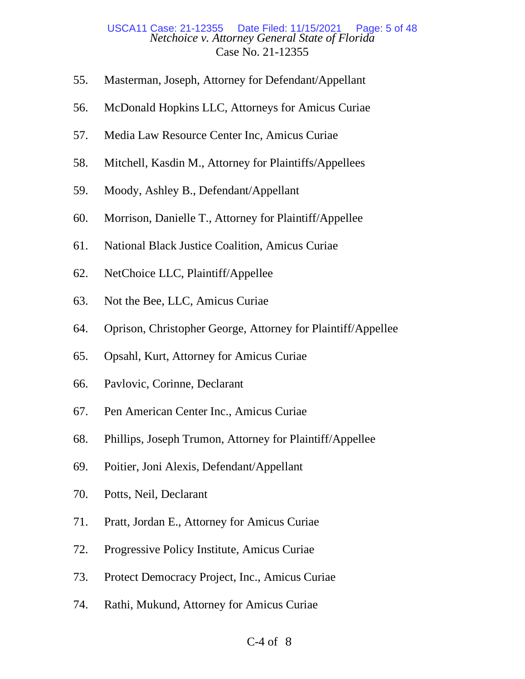### *Netchoice v. Attorney General State of Florida* Case No. 21-12355 Date Filed: 11/15/2021 Page: 5 of 48

- 55. Masterman, Joseph, Attorney for Defendant/Appellant
- 56. McDonald Hopkins LLC, Attorneys for Amicus Curiae
- 57. Media Law Resource Center Inc, Amicus Curiae
- 58. Mitchell, Kasdin M., Attorney for Plaintiffs/Appellees
- 59. Moody, Ashley B., Defendant/Appellant
- 60. Morrison, Danielle T., Attorney for Plaintiff/Appellee
- 61. National Black Justice Coalition, Amicus Curiae
- 62. NetChoice LLC, Plaintiff/Appellee
- 63. Not the Bee, LLC, Amicus Curiae
- 64. Oprison, Christopher George, Attorney for Plaintiff/Appellee
- 65. Opsahl, Kurt, Attorney for Amicus Curiae
- 66. Pavlovic, Corinne, Declarant
- 67. Pen American Center Inc., Amicus Curiae
- 68. Phillips, Joseph Trumon, Attorney for Plaintiff/Appellee
- 69. Poitier, Joni Alexis, Defendant/Appellant
- 70. Potts, Neil, Declarant
- 71. Pratt, Jordan E., Attorney for Amicus Curiae
- 72. Progressive Policy Institute, Amicus Curiae
- 73. Protect Democracy Project, Inc., Amicus Curiae
- 74. Rathi, Mukund, Attorney for Amicus Curiae

## $C-4$  of  $8$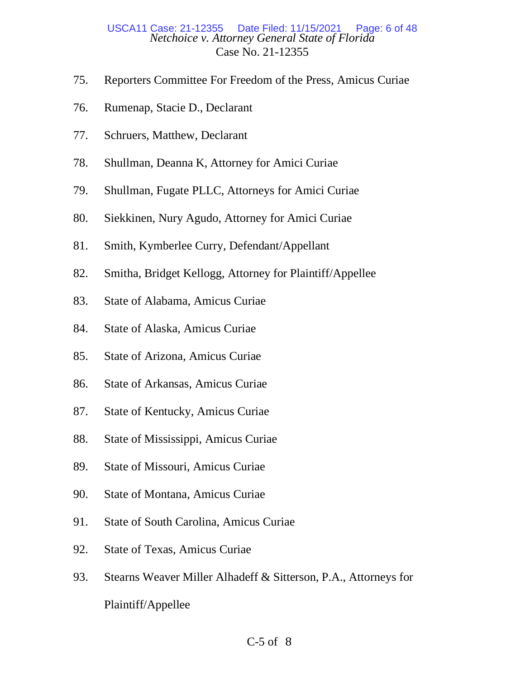## *Netchoice v. Attorney General State of Florida* Case No. 21-12355 Date Filed: 11/15/2021 Page: 6 of 48

- 75. Reporters Committee For Freedom of the Press, Amicus Curiae
- 76. Rumenap, Stacie D., Declarant
- 77. Schruers, Matthew, Declarant
- 78. Shullman, Deanna K, Attorney for Amici Curiae
- 79. Shullman, Fugate PLLC, Attorneys for Amici Curiae
- 80. Siekkinen, Nury Agudo, Attorney for Amici Curiae
- 81. Smith, Kymberlee Curry, Defendant/Appellant
- 82. Smitha, Bridget Kellogg, Attorney for Plaintiff/Appellee
- 83. State of Alabama, Amicus Curiae
- 84. State of Alaska, Amicus Curiae
- 85. State of Arizona, Amicus Curiae
- 86. State of Arkansas, Amicus Curiae
- 87. State of Kentucky, Amicus Curiae
- 88. State of Mississippi, Amicus Curiae
- 89. State of Missouri, Amicus Curiae
- 90. State of Montana, Amicus Curiae
- 91. State of South Carolina, Amicus Curiae
- 92. State of Texas, Amicus Curiae
- 93. Stearns Weaver Miller Alhadeff & Sitterson, P.A., Attorneys for Plaintiff/Appellee

## $C-5$  of  $8$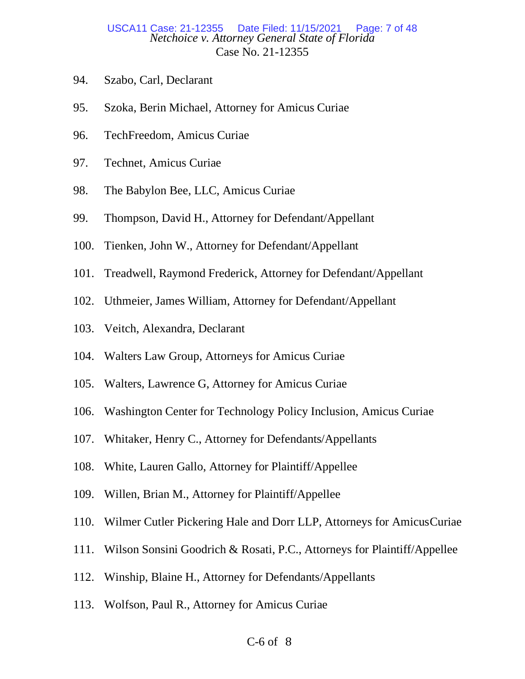## *Netchoice v. Attorney General State of Florida* Case No. 21-12355 USCA11 Case: 21-12355 Date Filed: 11/15/2021

- 94. Szabo, Carl, Declarant
- 95. Szoka, Berin Michael, Attorney for Amicus Curiae
- 96. TechFreedom, Amicus Curiae
- 97. Technet, Amicus Curiae
- 98. The Babylon Bee, LLC, Amicus Curiae
- 99. Thompson, David H., Attorney for Defendant/Appellant
- 100. Tienken, John W., Attorney for Defendant/Appellant
- 101. Treadwell, Raymond Frederick, Attorney for Defendant/Appellant
- 102. Uthmeier, James William, Attorney for Defendant/Appellant
- 103. Veitch, Alexandra, Declarant
- 104. Walters Law Group, Attorneys for Amicus Curiae
- 105. Walters, Lawrence G, Attorney for Amicus Curiae
- 106. Washington Center for Technology Policy Inclusion, Amicus Curiae
- 107. Whitaker, Henry C., Attorney for Defendants/Appellants
- 108. White, Lauren Gallo, Attorney for Plaintiff/Appellee
- 109. Willen, Brian M., Attorney for Plaintiff/Appellee
- 110. Wilmer Cutler Pickering Hale and Dorr LLP, Attorneys for AmicusCuriae
- 111. Wilson Sonsini Goodrich & Rosati, P.C., Attorneys for Plaintiff/Appellee
- 112. Winship, Blaine H., Attorney for Defendants/Appellants
- 113. Wolfson, Paul R., Attorney for Amicus Curiae

## C-6 of 8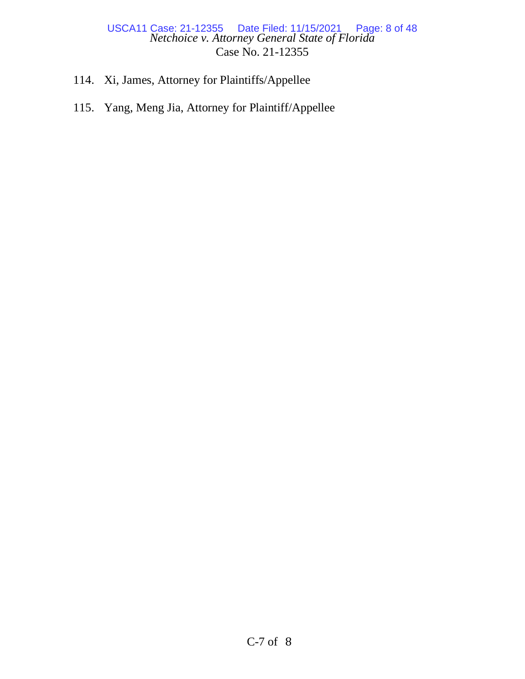## *Netchoice v. Attorney General State of Florida* Case No. 21-12355 USCA11 Case: 21-12355 Date Filed: 11/15/2021 Page: 8 of 48

- 114. Xi, James, Attorney for Plaintiffs/Appellee
- 115. Yang, Meng Jia, Attorney for Plaintiff/Appellee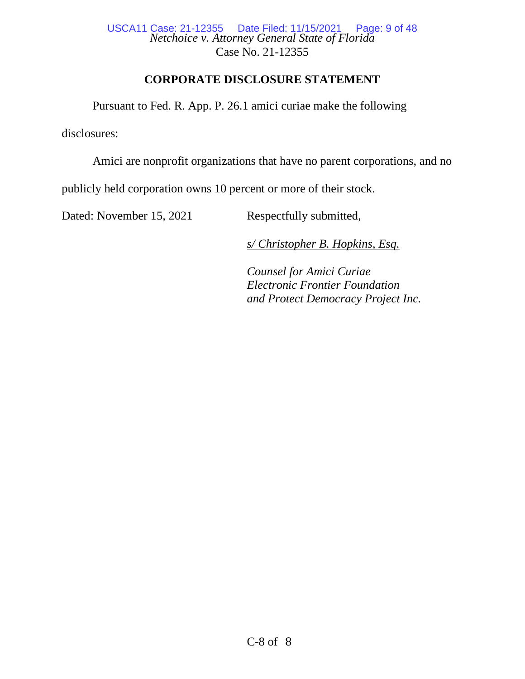*Netchoice v. Attorney General State of Florida* Case No. 21-12355 USCA11 Case: 21-12355 Date Filed: 11/15/2021 Page: 9 of 48

# **CORPORATE DISCLOSURE STATEMENT**

Pursuant to Fed. R. App. P. 26.1 amici curiae make the following

disclosures:

Amici are nonprofit organizations that have no parent corporations, and no

publicly held corporation owns 10 percent or more of their stock.

Dated: November 15, 2021 Respectfully submitted,

*s/ Christopher B. Hopkins, Esq.*

*Counsel for Amici Curiae Electronic Frontier Foundation and Protect Democracy Project Inc.*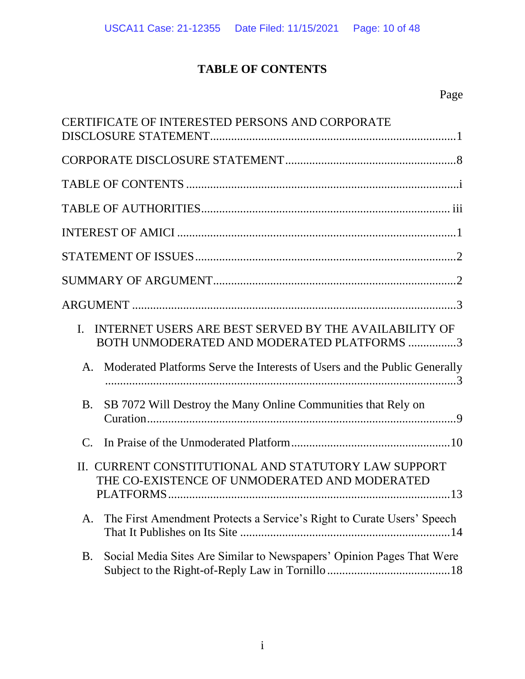# **TABLE OF CONTENTS**

| CERTIFICATE OF INTERESTED PERSONS AND CORPORATE                                                                                 |
|---------------------------------------------------------------------------------------------------------------------------------|
|                                                                                                                                 |
|                                                                                                                                 |
|                                                                                                                                 |
|                                                                                                                                 |
|                                                                                                                                 |
|                                                                                                                                 |
|                                                                                                                                 |
| INTERNET USERS ARE BEST SERVED BY THE AVAILABILITY OF<br>L.<br>BOTH UNMODERATED AND MODERATED PLATFORMS 3                       |
| Moderated Platforms Serve the Interests of Users and the Public Generally<br>A.                                                 |
| SB 7072 Will Destroy the Many Online Communities that Rely on<br><b>B.</b>                                                      |
| $\mathcal{C}$ .                                                                                                                 |
| II. CURRENT CONSTITUTIONAL AND STATUTORY LAW SUPPORT<br>THE CO-EXISTENCE OF UNMODERATED AND MODERATED<br>13<br><b>PLATFORMS</b> |
| The First Amendment Protects a Service's Right to Curate Users' Speech<br>A.                                                    |
| Social Media Sites Are Similar to Newspapers' Opinion Pages That Were<br><b>B.</b>                                              |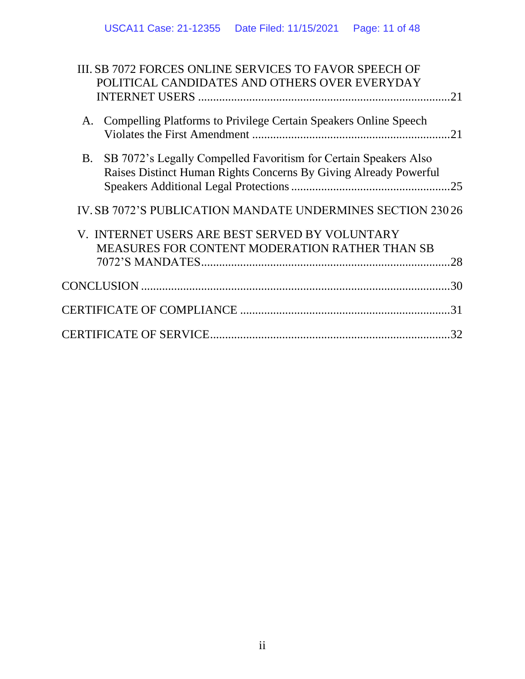| III. SB 7072 FORCES ONLINE SERVICES TO FAVOR SPEECH OF<br>POLITICAL CANDIDATES AND OTHERS OVER EVERYDAY                                            |
|----------------------------------------------------------------------------------------------------------------------------------------------------|
| <b>Compelling Platforms to Privilege Certain Speakers Online Speech</b><br>A.                                                                      |
| SB 7072's Legally Compelled Favoritism for Certain Speakers Also<br><b>B</b> .<br>Raises Distinct Human Rights Concerns By Giving Already Powerful |
| IV. SB 7072'S PUBLICATION MANDATE UNDERMINES SECTION 23026                                                                                         |
| V. INTERNET USERS ARE BEST SERVED BY VOLUNTARY<br><b>MEASURES FOR CONTENT MODERATION RATHER THAN SB</b>                                            |
|                                                                                                                                                    |
|                                                                                                                                                    |
| .32                                                                                                                                                |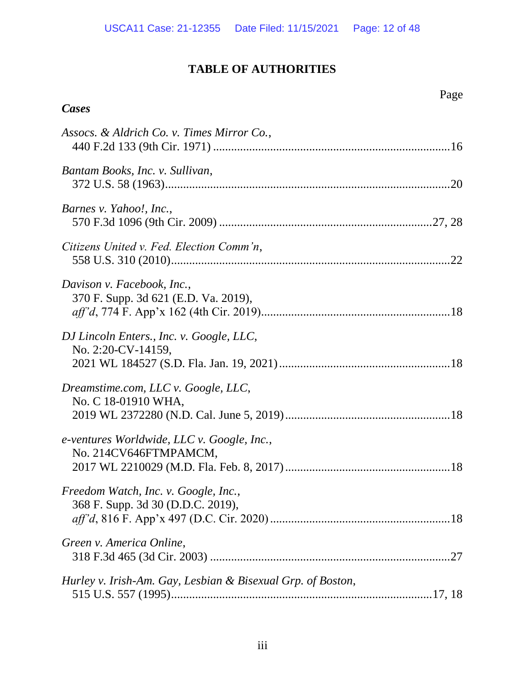# **TABLE OF AUTHORITIES**

Page

# *Cases*

| Assocs. & Aldrich Co. v. Times Mirror Co.,                                |  |
|---------------------------------------------------------------------------|--|
| Bantam Books, Inc. v. Sullivan,                                           |  |
| Barnes v. Yahoo!, Inc.,                                                   |  |
| Citizens United v. Fed. Election Comm'n,                                  |  |
| Davison v. Facebook, Inc.,<br>370 F. Supp. 3d 621 (E.D. Va. 2019),        |  |
| DJ Lincoln Enters., Inc. v. Google, LLC,<br>No. 2:20-CV-14159,            |  |
| Dreamstime.com, LLC v. Google, LLC,<br>No. C 18-01910 WHA,                |  |
| e-ventures Worldwide, LLC v. Google, Inc.,<br>No. 214CV646FTMPAMCM,       |  |
| Freedom Watch, Inc. v. Google, Inc.,<br>368 F. Supp. 3d 30 (D.D.C. 2019), |  |
| Green v. America Online,                                                  |  |
| Hurley v. Irish-Am. Gay, Lesbian & Bisexual Grp. of Boston,               |  |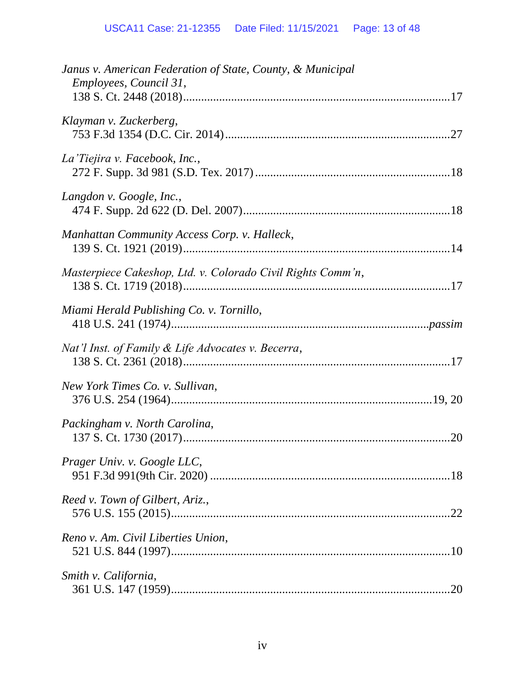| Janus v. American Federation of State, County, & Municipal<br>Employees, Council 31, |
|--------------------------------------------------------------------------------------|
| Klayman v. Zuckerberg,                                                               |
| La Tiejira v. Facebook, Inc.,                                                        |
| Langdon v. Google, Inc.,                                                             |
| Manhattan Community Access Corp. v. Halleck,                                         |
| Masterpiece Cakeshop, Ltd. v. Colorado Civil Rights Comm'n,                          |
| Miami Herald Publishing Co. v. Tornillo,                                             |
| Nat'l Inst. of Family & Life Advocates v. Becerra,                                   |
| New York Times Co. v. Sullivan,                                                      |
| Packingham v. North Carolina,                                                        |
| Prager Univ. v. Google LLC,                                                          |
| Reed v. Town of Gilbert, Ariz.,                                                      |
| Reno v. Am. Civil Liberties Union,                                                   |
| Smith v. California,                                                                 |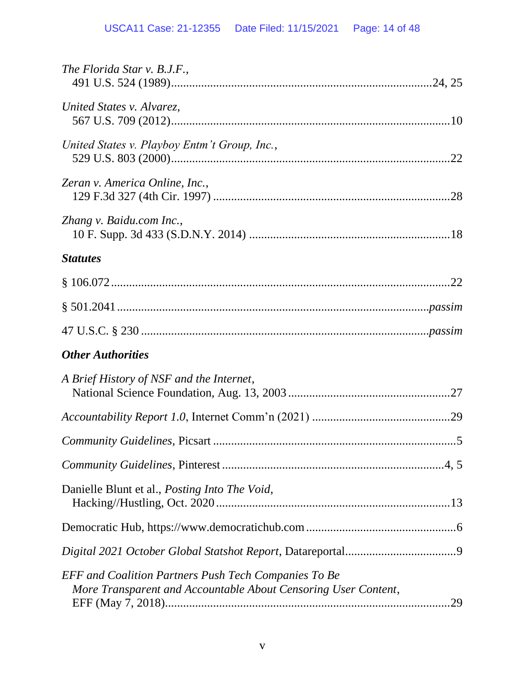| The Florida Star v. B.J.F.,                                                                                                   |  |
|-------------------------------------------------------------------------------------------------------------------------------|--|
| United States v. Alvarez,                                                                                                     |  |
| United States v. Playboy Entm't Group, Inc.,                                                                                  |  |
| Zeran v. America Online, Inc.,                                                                                                |  |
| Zhang v. Baidu.com Inc.,                                                                                                      |  |
| <b>Statutes</b>                                                                                                               |  |
|                                                                                                                               |  |
|                                                                                                                               |  |
|                                                                                                                               |  |
| <b>Other Authorities</b>                                                                                                      |  |
| A Brief History of NSF and the Internet,                                                                                      |  |
|                                                                                                                               |  |
|                                                                                                                               |  |
|                                                                                                                               |  |
| Danielle Blunt et al., Posting Into The Void,                                                                                 |  |
|                                                                                                                               |  |
|                                                                                                                               |  |
| <b>EFF</b> and Coalition Partners Push Tech Companies To Be<br>More Transparent and Accountable About Censoring User Content, |  |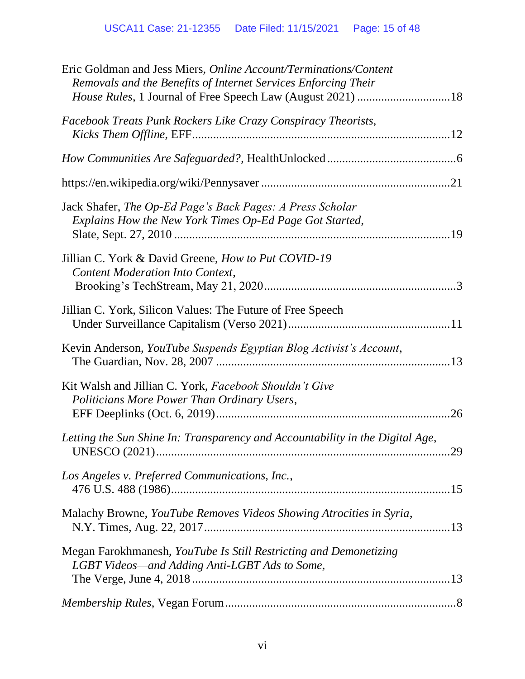| Eric Goldman and Jess Miers, Online Account/Terminations/Content<br>Removals and the Benefits of Internet Services Enforcing Their<br>House Rules, 1 Journal of Free Speech Law (August 2021) 18 |    |
|--------------------------------------------------------------------------------------------------------------------------------------------------------------------------------------------------|----|
| Facebook Treats Punk Rockers Like Crazy Conspiracy Theorists,                                                                                                                                    |    |
|                                                                                                                                                                                                  |    |
|                                                                                                                                                                                                  |    |
| Jack Shafer, The Op-Ed Page's Back Pages: A Press Scholar<br>Explains How the New York Times Op-Ed Page Got Started,                                                                             |    |
| Jillian C. York & David Greene, How to Put COVID-19<br>Content Moderation Into Context,                                                                                                          |    |
| Jillian C. York, Silicon Values: The Future of Free Speech                                                                                                                                       |    |
| Kevin Anderson, YouTube Suspends Egyptian Blog Activist's Account,                                                                                                                               |    |
| Kit Walsh and Jillian C. York, Facebook Shouldn't Give<br>Politicians More Power Than Ordinary Users,                                                                                            | 26 |
| Letting the Sun Shine In: Transparency and Accountability in the Digital Age,                                                                                                                    |    |
| Los Angeles v. Preferred Communications, Inc.,                                                                                                                                                   |    |
| Malachy Browne, YouTube Removes Videos Showing Atrocities in Syria,                                                                                                                              |    |
| Megan Farokhmanesh, YouTube Is Still Restricting and Demonetizing<br>LGBT Videos—and Adding Anti-LGBT Ads to Some,                                                                               |    |
|                                                                                                                                                                                                  |    |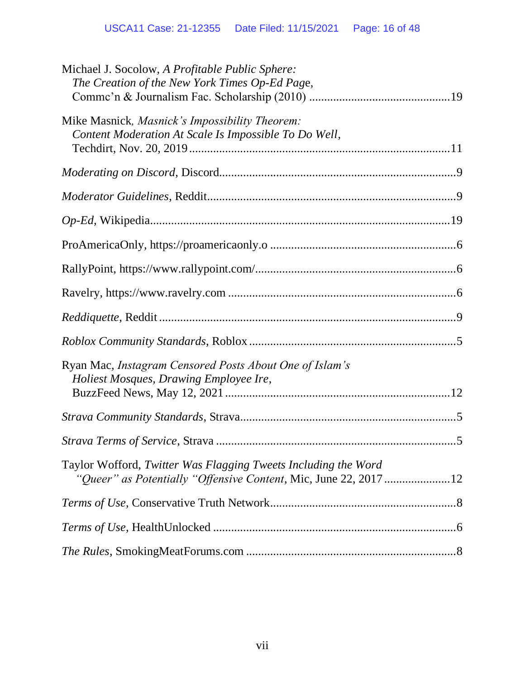| Michael J. Socolow, A Profitable Public Sphere:<br>The Creation of the New York Times Op-Ed Page,                                  |  |
|------------------------------------------------------------------------------------------------------------------------------------|--|
| Mike Masnick, Masnick's Impossibility Theorem:<br>Content Moderation At Scale Is Impossible To Do Well,                            |  |
|                                                                                                                                    |  |
|                                                                                                                                    |  |
|                                                                                                                                    |  |
|                                                                                                                                    |  |
|                                                                                                                                    |  |
|                                                                                                                                    |  |
|                                                                                                                                    |  |
|                                                                                                                                    |  |
| Ryan Mac, Instagram Censored Posts About One of Islam's<br>Holiest Mosques, Drawing Employee Ire,                                  |  |
|                                                                                                                                    |  |
|                                                                                                                                    |  |
| Taylor Wofford, Twitter Was Flagging Tweets Including the Word<br>"Queer" as Potentially "Offensive Content, Mic, June 22, 2017 12 |  |
|                                                                                                                                    |  |
|                                                                                                                                    |  |
|                                                                                                                                    |  |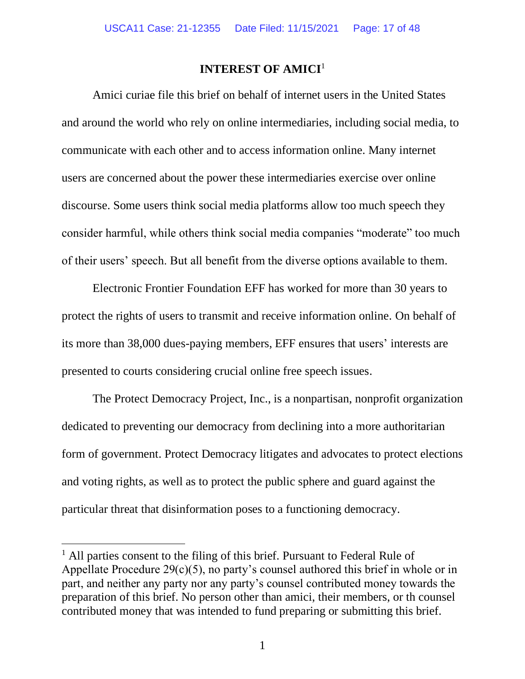## **INTEREST OF AMICI** 1

Amici curiae file this brief on behalf of internet users in the United States and around the world who rely on online intermediaries, including social media, to communicate with each other and to access information online. Many internet users are concerned about the power these intermediaries exercise over online discourse. Some users think social media platforms allow too much speech they consider harmful, while others think social media companies "moderate" too much of their users' speech. But all benefit from the diverse options available to them.

Electronic Frontier Foundation EFF has worked for more than 30 years to protect the rights of users to transmit and receive information online. On behalf of its more than 38,000 dues-paying members, EFF ensures that users' interests are presented to courts considering crucial online free speech issues.

The Protect Democracy Project, Inc., is a nonpartisan, nonprofit organization dedicated to preventing our democracy from declining into a more authoritarian form of government. Protect Democracy litigates and advocates to protect elections and voting rights, as well as to protect the public sphere and guard against the particular threat that disinformation poses to a functioning democracy.

 $<sup>1</sup>$  All parties consent to the filing of this brief. Pursuant to Federal Rule of</sup> Appellate Procedure 29(c)(5), no party's counsel authored this brief in whole or in part, and neither any party nor any party's counsel contributed money towards the preparation of this brief. No person other than amici, their members, or th counsel contributed money that was intended to fund preparing or submitting this brief.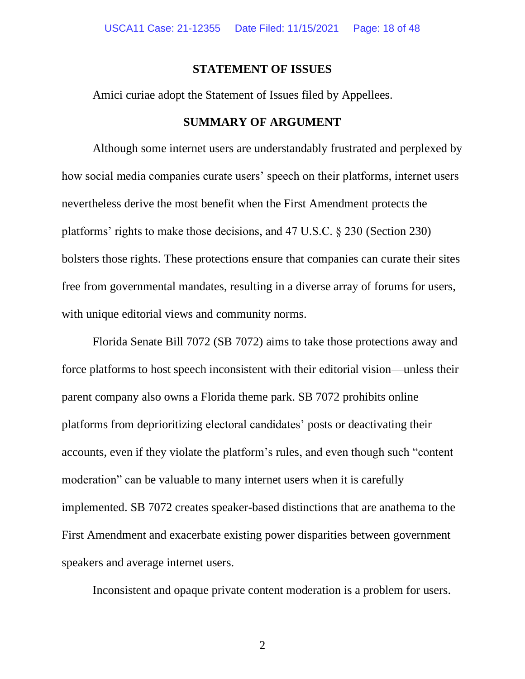### **STATEMENT OF ISSUES**

Amici curiae adopt the Statement of Issues filed by Appellees.

## **SUMMARY OF ARGUMENT**

Although some internet users are understandably frustrated and perplexed by how social media companies curate users' speech on their platforms, internet users nevertheless derive the most benefit when the First Amendment protects the platforms' rights to make those decisions, and 47 U.S.C. § 230 (Section 230) bolsters those rights. These protections ensure that companies can curate their sites free from governmental mandates, resulting in a diverse array of forums for users, with unique editorial views and community norms.

Florida Senate Bill 7072 (SB 7072) aims to take those protections away and force platforms to host speech inconsistent with their editorial vision—unless their parent company also owns a Florida theme park. SB 7072 prohibits online platforms from deprioritizing electoral candidates' posts or deactivating their accounts, even if they violate the platform's rules, and even though such "content moderation" can be valuable to many internet users when it is carefully implemented. SB 7072 creates speaker-based distinctions that are anathema to the First Amendment and exacerbate existing power disparities between government speakers and average internet users.

Inconsistent and opaque private content moderation is a problem for users.

2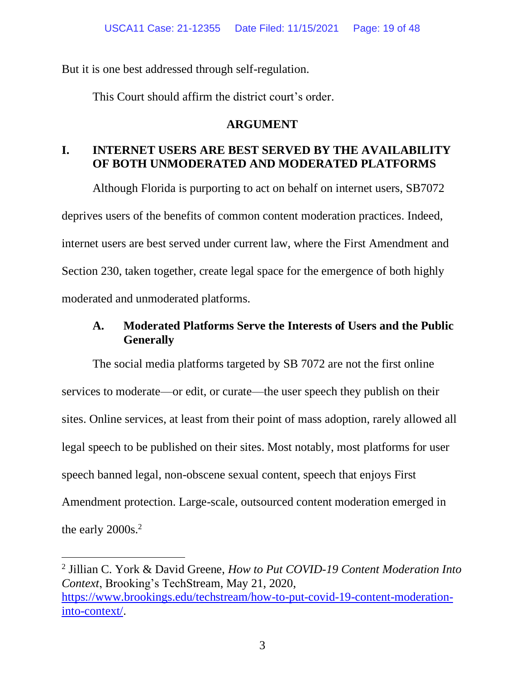But it is one best addressed through self-regulation.

This Court should affirm the district court's order.

## **ARGUMENT**

# **I. INTERNET USERS ARE BEST SERVED BY THE AVAILABILITY OF BOTH UNMODERATED AND MODERATED PLATFORMS**

Although Florida is purporting to act on behalf on internet users, SB7072 deprives users of the benefits of common content moderation practices. Indeed, internet users are best served under current law, where the First Amendment and Section 230, taken together, create legal space for the emergence of both highly moderated and unmoderated platforms.

# **A. Moderated Platforms Serve the Interests of Users and the Public Generally**

The social media platforms targeted by SB 7072 are not the first online services to moderate—or edit, or curate—the user speech they publish on their sites. Online services, at least from their point of mass adoption, rarely allowed all legal speech to be published on their sites. Most notably, most platforms for user speech banned legal, non-obscene sexual content, speech that enjoys First Amendment protection. Large-scale, outsourced content moderation emerged in the early 2000s.<sup>2</sup>

<sup>2</sup> Jillian C. York & David Greene, *How to Put COVID-19 Content Moderation Into Context*, Brooking's TechStream, May 21, 2020, [https://www.brookings.edu/techstream/how-to-put-covid-19-content-moderation](https://www.brookings.edu/techstream/how-to-put-covid-19-content-moderation-into-context/)[into-context/.](https://www.brookings.edu/techstream/how-to-put-covid-19-content-moderation-into-context/)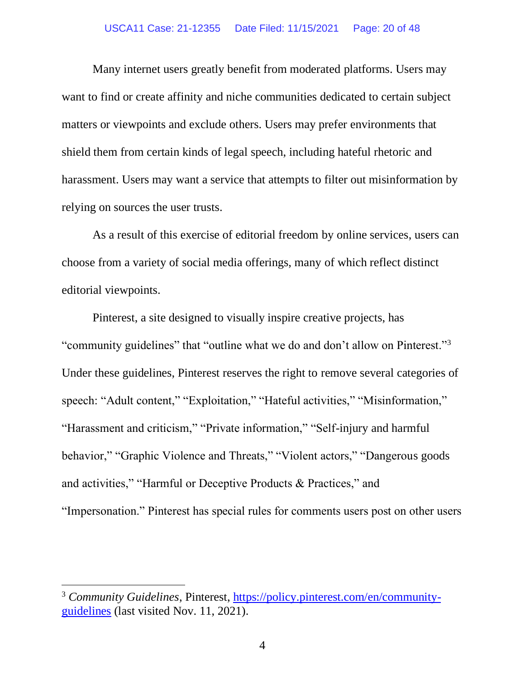#### USCA11 Case: 21-12355 Date Filed: 11/15/2021 Page: 20 of 48

Many internet users greatly benefit from moderated platforms. Users may want to find or create affinity and niche communities dedicated to certain subject matters or viewpoints and exclude others. Users may prefer environments that shield them from certain kinds of legal speech, including hateful rhetoric and harassment. Users may want a service that attempts to filter out misinformation by relying on sources the user trusts.

As a result of this exercise of editorial freedom by online services, users can choose from a variety of social media offerings, many of which reflect distinct editorial viewpoints.

Pinterest, a site designed to visually inspire creative projects, has "community guidelines" that "outline what we do and don't allow on Pinterest."<sup>3</sup> Under these guidelines, Pinterest reserves the right to remove several categories of speech: "Adult content," "Exploitation," "Hateful activities," "Misinformation," "Harassment and criticism," "Private information," "Self-injury and harmful behavior," "Graphic Violence and Threats," "Violent actors," "Dangerous goods and activities," "Harmful or Deceptive Products & Practices," and "Impersonation." Pinterest has special rules for comments users post on other users

<sup>&</sup>lt;sup>3</sup> Community Guidelines, Pinterest, [https://policy.pinterest.com/en/community](https://policy.pinterest.com/en/community-guidelines)[guidelines](https://policy.pinterest.com/en/community-guidelines) (last visited Nov. 11, 2021).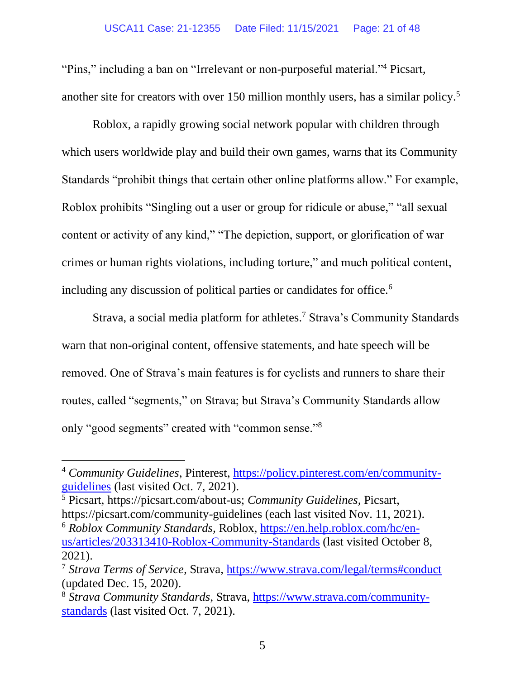"Pins," including a ban on "Irrelevant or non-purposeful material."<sup>4</sup> Picsart, another site for creators with over 150 million monthly users, has a similar policy.<sup>5</sup>

Roblox, a rapidly growing social network popular with children through which users worldwide play and build their own games, warns that its Community Standards "prohibit things that certain other online platforms allow." For example, Roblox prohibits "Singling out a user or group for ridicule or abuse," "all sexual content or activity of any kind," "The depiction, support, or glorification of war crimes or human rights violations, including torture," and much political content, including any discussion of political parties or candidates for office.<sup>6</sup>

Strava, a social media platform for athletes.<sup>7</sup> Strava's Community Standards warn that non-original content, offensive statements, and hate speech will be removed. One of Strava's main features is for cyclists and runners to share their routes, called "segments," on Strava; but Strava's Community Standards allow only "good segments" created with "common sense."<sup>8</sup>

<sup>4</sup> *Community Guidelines*, Pinterest, [https://policy.pinterest.com/en/community](https://policy.pinterest.com/en/community-guidelines)[guidelines](https://policy.pinterest.com/en/community-guidelines) (last visited Oct. 7, 2021).

<sup>5</sup> Picsart, https://picsart.com/about-us; *Community Guidelines,* Picsart, https://picsart.com/community-guidelines (each last visited Nov. 11, 2021). <sup>6</sup> *Roblox Community Standards*, Roblox, [https://en.help.roblox.com/hc/en](https://en.help.roblox.com/hc/en-us/articles/203313410-Roblox-Community-Standards)[us/articles/203313410-Roblox-Community-Standards](https://en.help.roblox.com/hc/en-us/articles/203313410-Roblox-Community-Standards) (last visited October 8, 2021).

<sup>7</sup> *Strava Terms of Service*, Strava,<https://www.strava.com/legal/terms#conduct> (updated Dec. 15, 2020).

<sup>8</sup> *Strava Community Standards*, Strava, [https://www.strava.com/community](https://www.strava.com/community-standards)[standards](https://www.strava.com/community-standards) (last visited Oct. 7, 2021).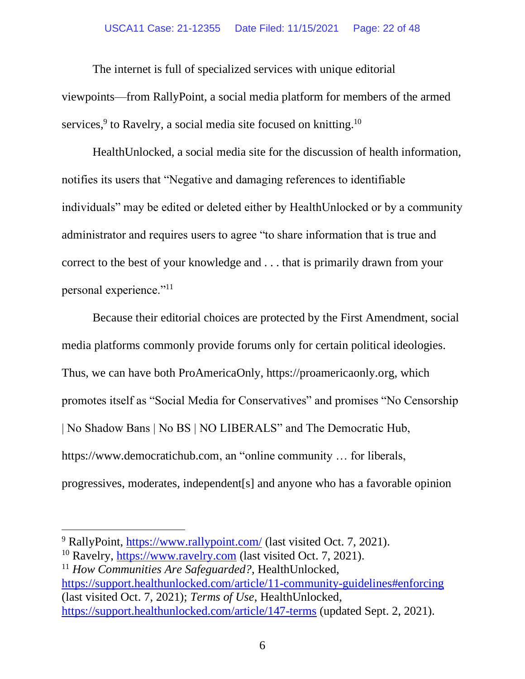### USCA11 Case: 21-12355 Date Filed: 11/15/2021 Page: 22 of 48

The internet is full of specialized services with unique editorial viewpoints—from RallyPoint, a social media platform for members of the armed services,<sup>9</sup> to Ravelry, a social media site focused on knitting.<sup>10</sup>

HealthUnlocked, a social media site for the discussion of health information, notifies its users that "Negative and damaging references to identifiable individuals" may be edited or deleted either by HealthUnlocked or by a community administrator and requires users to agree "to share information that is true and correct to the best of your knowledge and . . . that is primarily drawn from your personal experience."<sup>11</sup>

Because their editorial choices are protected by the First Amendment, social media platforms commonly provide forums only for certain political ideologies. Thus, we can have both ProAmericaOnly, https://proamericaonly.org, which promotes itself as "Social Media for Conservatives" and promises "No Censorship | No Shadow Bans | No BS | NO LIBERALS" and The Democratic Hub, https://www.democratichub.com, an "online community … for liberals, progressives, moderates, independent[s] and anyone who has a favorable opinion

<sup>&</sup>lt;sup>9</sup> RallyPoint, <https://www.rallypoint.com/> (last visited Oct. 7, 2021).

 $10$  Ravelry, [https://www.ravelry.com](https://www.ravelry.com/) (last visited Oct. 7, 2021).

<sup>&</sup>lt;sup>11</sup> How Communities Are Safeguarded?, HealthUnlocked, <https://support.healthunlocked.com/article/11-community-guidelines#enforcing> (last visited Oct. 7, 2021); *Terms of Use*, HealthUnlocked, <https://support.healthunlocked.com/article/147-terms> (updated Sept. 2, 2021).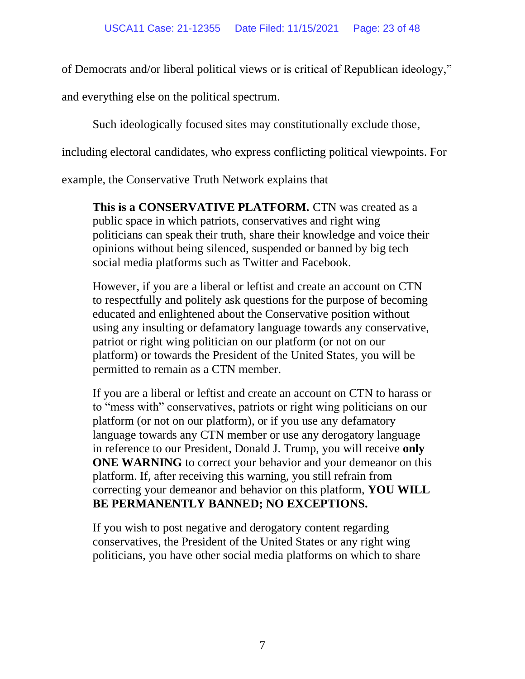of Democrats and/or liberal political views or is critical of Republican ideology,"

and everything else on the political spectrum.

Such ideologically focused sites may constitutionally exclude those,

including electoral candidates, who express conflicting political viewpoints. For

example, the Conservative Truth Network explains that

**This is a CONSERVATIVE PLATFORM.** CTN was created as a public space in which patriots, conservatives and right wing politicians can speak their truth, share their knowledge and voice their opinions without being silenced, suspended or banned by big tech social media platforms such as Twitter and Facebook.

However, if you are a liberal or leftist and create an account on CTN to respectfully and politely ask questions for the purpose of becoming educated and enlightened about the Conservative position without using any insulting or defamatory language towards any conservative, patriot or right wing politician on our platform (or not on our platform) or towards the President of the United States, you will be permitted to remain as a CTN member.

If you are a liberal or leftist and create an account on CTN to harass or to "mess with" conservatives, patriots or right wing politicians on our platform (or not on our platform), or if you use any defamatory language towards any CTN member or use any derogatory language in reference to our President, Donald J. Trump, you will receive **only ONE WARNING** to correct your behavior and your demeanor on this platform. If, after receiving this warning, you still refrain from correcting your demeanor and behavior on this platform, **YOU WILL BE PERMANENTLY BANNED; NO EXCEPTIONS.** 

If you wish to post negative and derogatory content regarding conservatives, the President of the United States or any right wing politicians, you have other social media platforms on which to share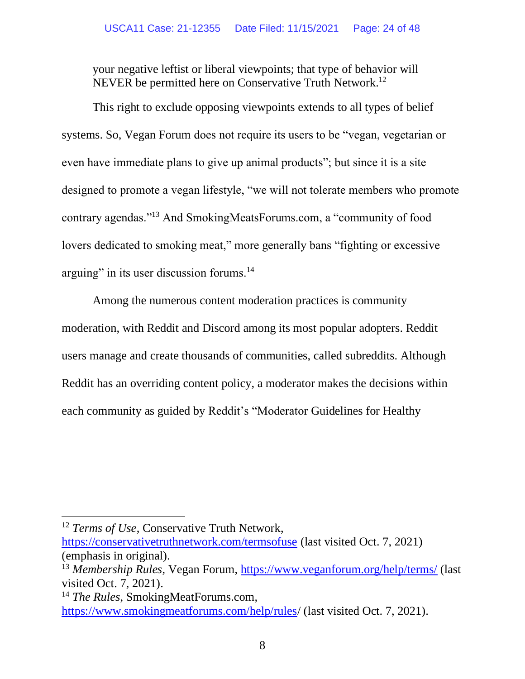your negative leftist or liberal viewpoints; that type of behavior will NEVER be permitted here on Conservative Truth Network.<sup>12</sup>

This right to exclude opposing viewpoints extends to all types of belief systems. So, Vegan Forum does not require its users to be "vegan, vegetarian or even have immediate plans to give up animal products"; but since it is a site designed to promote a vegan lifestyle, "we will not tolerate members who promote contrary agendas."<sup>13</sup> And SmokingMeatsForums.com, a "community of food lovers dedicated to smoking meat," more generally bans "fighting or excessive arguing" in its user discussion forums.<sup>14</sup>

Among the numerous content moderation practices is community moderation, with Reddit and Discord among its most popular adopters. Reddit users manage and create thousands of communities, called subreddits. Although Reddit has an overriding content policy, a moderator makes the decisions within each community as guided by Reddit's "Moderator Guidelines for Healthy

<sup>&</sup>lt;sup>12</sup> *Terms of Use*, Conservative Truth Network,

<https://conservativetruthnetwork.com/termsofuse> (last visited Oct. 7, 2021) (emphasis in original).

<sup>13</sup> *Membership Rules*, Vegan Forum,<https://www.veganforum.org/help/terms/> (last visited Oct. 7, 2021).

<sup>&</sup>lt;sup>14</sup> *The Rules*, SmokingMeatForums.com, <https://www.smokingmeatforums.com/help/rules/> (last visited Oct. 7, 2021).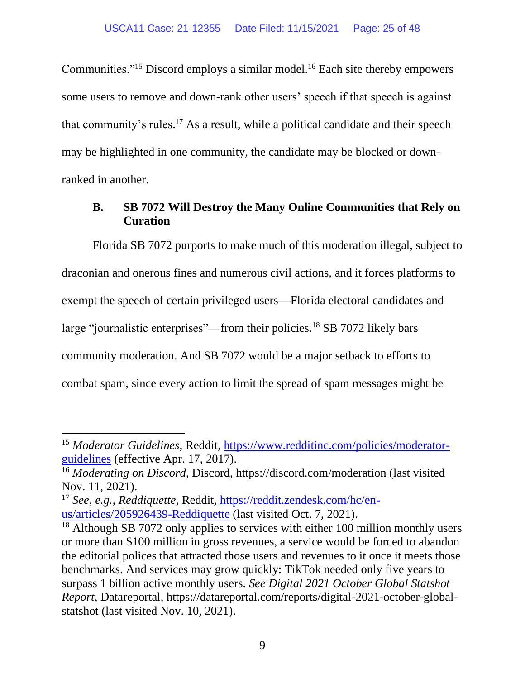Communities."<sup>15</sup> Discord employs a similar model.<sup>16</sup> Each site thereby empowers some users to remove and down-rank other users' speech if that speech is against that community's rules. <sup>17</sup> As a result, while a political candidate and their speech may be highlighted in one community, the candidate may be blocked or downranked in another.

# **B. SB 7072 Will Destroy the Many Online Communities that Rely on Curation**

Florida SB 7072 purports to make much of this moderation illegal, subject to draconian and onerous fines and numerous civil actions, and it forces platforms to exempt the speech of certain privileged users—Florida electoral candidates and large "journalistic enterprises"—from their policies.<sup>18</sup> SB 7072 likely bars community moderation. And SB 7072 would be a major setback to efforts to combat spam, since every action to limit the spread of spam messages might be

<sup>&</sup>lt;sup>15</sup> Moderator Guidelines, Reddit, [https://www.redditinc.com/policies/moderator](https://www.redditinc.com/policies/moderator-guidelines)[guidelines](https://www.redditinc.com/policies/moderator-guidelines) (effective Apr. 17, 2017).

<sup>16</sup> *Moderating on Discord*, Discord, https://discord.com/moderation (last visited Nov. 11, 2021).

<sup>17</sup> *See, e.g., Reddiquette*, Reddit, [https://reddit.zendesk.com/hc/en](https://reddit.zendesk.com/hc/en-us/articles/205926439-Reddiquette)[us/articles/205926439-Reddiquette](https://reddit.zendesk.com/hc/en-us/articles/205926439-Reddiquette) (last visited Oct. 7, 2021).

<sup>&</sup>lt;sup>18</sup> Although SB 7072 only applies to services with either 100 million monthly users or more than \$100 million in gross revenues, a service would be forced to abandon the editorial polices that attracted those users and revenues to it once it meets those benchmarks. And services may grow quickly: TikTok needed only five years to surpass 1 billion active monthly users. *See Digital 2021 October Global Statshot Report*, Datareportal, https://datareportal.com/reports/digital-2021-october-globalstatshot (last visited Nov. 10, 2021).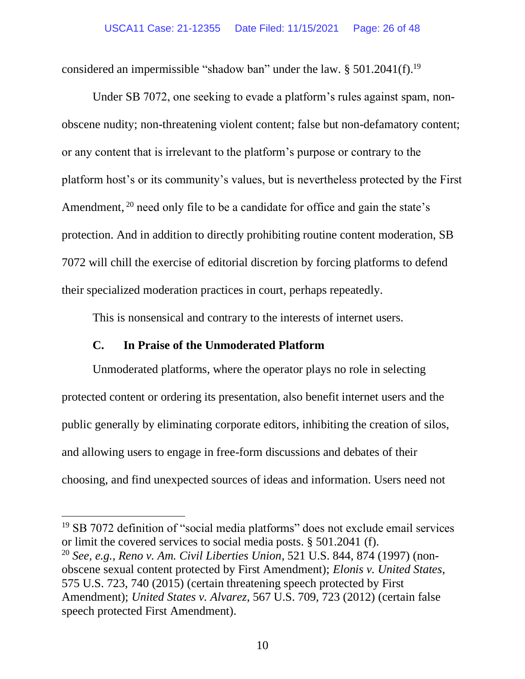considered an impermissible "shadow ban" under the law. § 501.2041(f).<sup>19</sup>

Under SB 7072, one seeking to evade a platform's rules against spam, nonobscene nudity; non-threatening violent content; false but non-defamatory content; or any content that is irrelevant to the platform's purpose or contrary to the platform host's or its community's values, but is nevertheless protected by the First Amendment, <sup>20</sup> need only file to be a candidate for office and gain the state's protection. And in addition to directly prohibiting routine content moderation, SB 7072 will chill the exercise of editorial discretion by forcing platforms to defend their specialized moderation practices in court, perhaps repeatedly.

This is nonsensical and contrary to the interests of internet users.

# **C. In Praise of the Unmoderated Platform**

Unmoderated platforms, where the operator plays no role in selecting protected content or ordering its presentation, also benefit internet users and the public generally by eliminating corporate editors, inhibiting the creation of silos, and allowing users to engage in free-form discussions and debates of their choosing, and find unexpected sources of ideas and information. Users need not

<sup>&</sup>lt;sup>19</sup> SB 7072 definition of "social media platforms" does not exclude email services or limit the covered services to social media posts. § 501.2041 (f).

<sup>20</sup> *See, e.g., Reno v. Am. Civil Liberties Union*, 521 U.S. 844, 874 (1997) (nonobscene sexual content protected by First Amendment); *Elonis v. United States*, 575 U.S. 723, 740 (2015) (certain threatening speech protected by First Amendment); *United States v. Alvarez*, 567 U.S. 709, 723 (2012) (certain false speech protected First Amendment).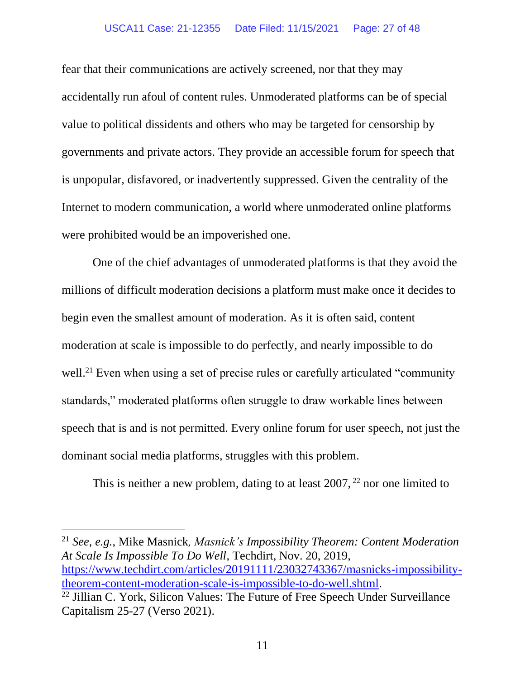### USCA11 Case: 21-12355 Date Filed: 11/15/2021 Page: 27 of 48

fear that their communications are actively screened, nor that they may accidentally run afoul of content rules. Unmoderated platforms can be of special value to political dissidents and others who may be targeted for censorship by governments and private actors. They provide an accessible forum for speech that is unpopular, disfavored, or inadvertently suppressed. Given the centrality of the Internet to modern communication, a world where unmoderated online platforms were prohibited would be an impoverished one.

One of the chief advantages of unmoderated platforms is that they avoid the millions of difficult moderation decisions a platform must make once it decides to begin even the smallest amount of moderation. As it is often said, content moderation at scale is impossible to do perfectly, and nearly impossible to do well.<sup>21</sup> Even when using a set of precise rules or carefully articulated "community" standards," moderated platforms often struggle to draw workable lines between speech that is and is not permitted. Every online forum for user speech, not just the dominant social media platforms, struggles with this problem.

This is neither a new problem, dating to at least  $2007$ ,  $^{22}$  nor one limited to

<sup>21</sup> *See, e.g.*, Mike Masnick*, Masnick's Impossibility Theorem: Content Moderation At Scale Is Impossible To Do Well*, Techdirt, Nov. 20, 2019, [https://www.techdirt.com/articles/20191111/23032743367/masnicks-impossibility](https://www.techdirt.com/articles/20191111/23032743367/masnicks-impossibility-theorem-content-moderation-scale-is-impossible-to-do-well.shtml)[theorem-content-moderation-scale-is-impossible-to-do-well.shtml.](https://www.techdirt.com/articles/20191111/23032743367/masnicks-impossibility-theorem-content-moderation-scale-is-impossible-to-do-well.shtml)

<sup>&</sup>lt;sup>22</sup> Jillian C. York, Silicon Values: The Future of Free Speech Under Surveillance Capitalism 25-27 (Verso 2021).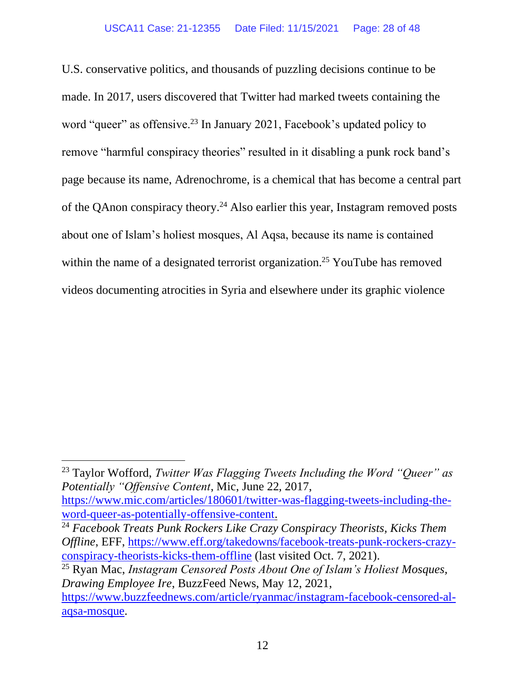U.S. conservative politics, and thousands of puzzling decisions continue to be made. In 2017, users discovered that Twitter had marked tweets containing the word "queer" as offensive.<sup>23</sup> In January 2021, Facebook's updated policy to remove "harmful conspiracy theories" resulted in it disabling a punk rock band's page because its name, Adrenochrome, is a chemical that has become a central part of the QAnon conspiracy theory.<sup>24</sup> Also earlier this year, Instagram removed posts about one of Islam's holiest mosques, Al Aqsa, because its name is contained within the name of a designated terrorist organization.<sup>25</sup> YouTube has removed videos documenting atrocities in Syria and elsewhere under its graphic violence

<sup>23</sup> Taylor Wofford, *Twitter Was Flagging Tweets Including the Word "Queer" as Potentially "Offensive Content*, Mic, June 22, 2017,

[https://www.mic.com/articles/180601/twitter-was-flagging-tweets-including-the](https://www.mic.com/articles/180601/twitter-was-flagging-tweets-including-the-word-queer-as-potentially-offensive-content)[word-queer-as-potentially-offensive-content.](https://www.mic.com/articles/180601/twitter-was-flagging-tweets-including-the-word-queer-as-potentially-offensive-content)

<sup>24</sup> *Facebook Treats Punk Rockers Like Crazy Conspiracy Theorists, Kicks Them Offline*, EFF, [https://www.eff.org/takedowns/facebook-treats-punk-rockers-crazy](https://www.eff.org/takedowns/facebook-treats-punk-rockers-crazy-conspiracy-theorists-kicks-them-offline)[conspiracy-theorists-kicks-them-offline](https://www.eff.org/takedowns/facebook-treats-punk-rockers-crazy-conspiracy-theorists-kicks-them-offline) (last visited Oct. 7, 2021).

<sup>25</sup> Ryan Mac, *Instagram Censored Posts About One of Islam's Holiest Mosques, Drawing Employee Ire*, BuzzFeed News, May 12, 2021, [https://www.buzzfeednews.com/article/ryanmac/instagram-facebook-censored-al-](https://www.buzzfeednews.com/article/ryanmac/instagram-facebook-censored-al-aqsa-mosque)

[aqsa-mosque.](https://www.buzzfeednews.com/article/ryanmac/instagram-facebook-censored-al-aqsa-mosque)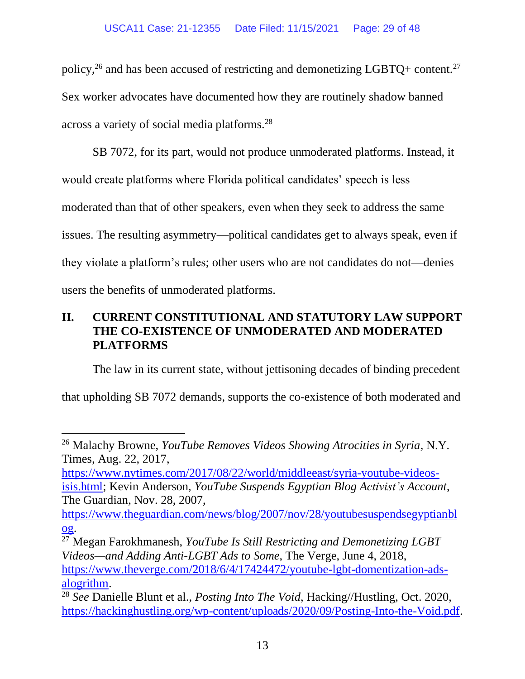policy,<sup>26</sup> and has been accused of restricting and demonetizing LGBTQ+ content.<sup>27</sup> Sex worker advocates have documented how they are routinely shadow banned across a variety of social media platforms.<sup>28</sup>

SB 7072, for its part, would not produce unmoderated platforms. Instead, it would create platforms where Florida political candidates' speech is less moderated than that of other speakers, even when they seek to address the same issues. The resulting asymmetry—political candidates get to always speak, even if they violate a platform's rules; other users who are not candidates do not—denies users the benefits of unmoderated platforms.

# **II. CURRENT CONSTITUTIONAL AND STATUTORY LAW SUPPORT THE CO-EXISTENCE OF UNMODERATED AND MODERATED PLATFORMS**

The law in its current state, without jettisoning decades of binding precedent

that upholding SB 7072 demands, supports the co-existence of both moderated and

[https://www.nytimes.com/2017/08/22/world/middleeast/syria-youtube-videos](https://www.nytimes.com/2017/08/22/world/middleeast/syria-youtube-videos-isis.html)[isis.html;](https://www.nytimes.com/2017/08/22/world/middleeast/syria-youtube-videos-isis.html) Kevin Anderson, *YouTube Suspends Egyptian Blog Activist's Account*, The Guardian, Nov. 28, 2007,

<sup>27</sup> Megan Farokhmanesh, *YouTube Is Still Restricting and Demonetizing LGBT Videos—and Adding Anti-LGBT Ads to Some*, The Verge, June 4, 2018, [https://www.theverge.com/2018/6/4/17424472/youtube-lgbt-domentization-ads](https://www.theverge.com/2018/6/4/17424472/youtube-lgbt-domentization-ads-alogrithm)[alogrithm.](https://www.theverge.com/2018/6/4/17424472/youtube-lgbt-domentization-ads-alogrithm)

<sup>26</sup> Malachy Browne, *YouTube Removes Videos Showing Atrocities in Syria*, N.Y. Times, Aug. 22, 2017,

[https://www.theguardian.com/news/blog/2007/nov/28/youtubesuspendsegyptianbl](https://www.theguardian.com/news/blog/2007/nov/28/youtubesuspendsegyptianblog) [og.](https://www.theguardian.com/news/blog/2007/nov/28/youtubesuspendsegyptianblog)

<sup>28</sup> *See* Danielle Blunt et al., *Posting Into The Void*, Hacking//Hustling, Oct. 2020, [https://hackinghustling.org/wp-content/uploads/2020/09/Posting-Into-the-Void.pdf.](https://hackinghustling.org/wp-content/uploads/2020/09/Posting-Into-the-Void.pdf)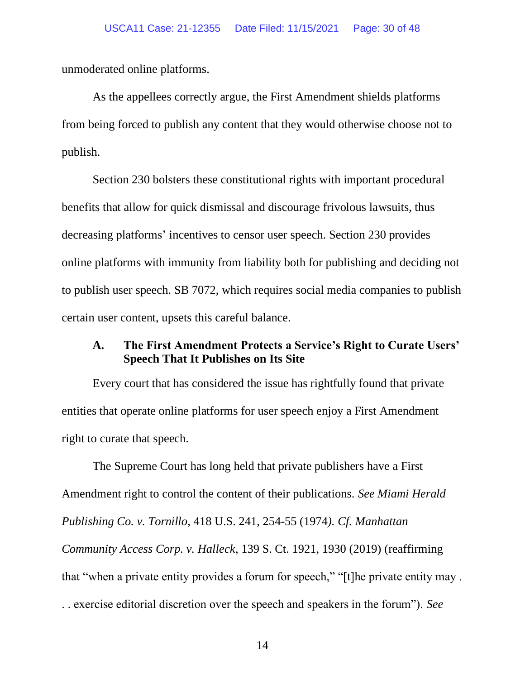unmoderated online platforms.

As the appellees correctly argue, the First Amendment shields platforms from being forced to publish any content that they would otherwise choose not to publish.

Section 230 bolsters these constitutional rights with important procedural benefits that allow for quick dismissal and discourage frivolous lawsuits, thus decreasing platforms' incentives to censor user speech. Section 230 provides online platforms with immunity from liability both for publishing and deciding not to publish user speech. SB 7072, which requires social media companies to publish certain user content, upsets this careful balance.

# **A. The First Amendment Protects a Service's Right to Curate Users' Speech That It Publishes on Its Site**

Every court that has considered the issue has rightfully found that private entities that operate online platforms for user speech enjoy a First Amendment right to curate that speech.

The Supreme Court has long held that private publishers have a First Amendment right to control the content of their publications. *See Miami Herald Publishing Co. v. Tornillo*, 418 U.S. 241, 254-55 (1974*). Cf. Manhattan Community Access Corp. v. Halleck*, 139 S. Ct. 1921, 1930 (2019) (reaffirming that "when a private entity provides a forum for speech," "[t]he private entity may . . . exercise editorial discretion over the speech and speakers in the forum"). *See*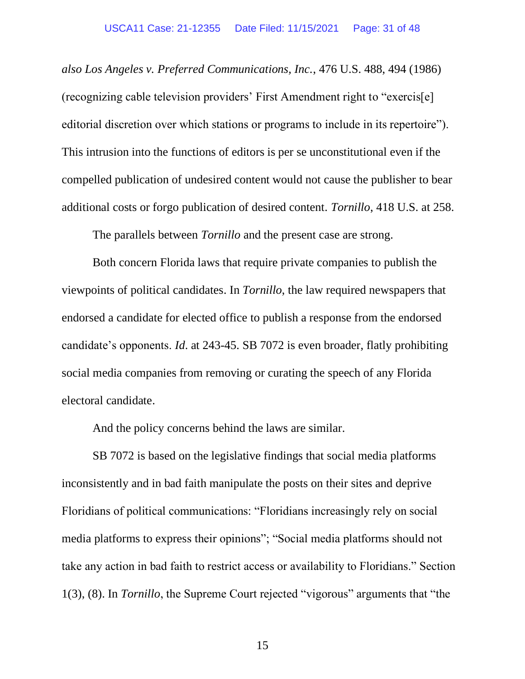*also Los Angeles v. Preferred Communications, Inc.*, 476 U.S. 488, 494 (1986) (recognizing cable television providers' First Amendment right to "exercis[e] editorial discretion over which stations or programs to include in its repertoire"). This intrusion into the functions of editors is per se unconstitutional even if the compelled publication of undesired content would not cause the publisher to bear additional costs or forgo publication of desired content. *Tornillo*, 418 U.S. at 258.

The parallels between *Tornillo* and the present case are strong.

Both concern Florida laws that require private companies to publish the viewpoints of political candidates. In *Tornillo*, the law required newspapers that endorsed a candidate for elected office to publish a response from the endorsed candidate's opponents. *Id*. at 243-45. SB 7072 is even broader, flatly prohibiting social media companies from removing or curating the speech of any Florida electoral candidate.

And the policy concerns behind the laws are similar.

SB 7072 is based on the legislative findings that social media platforms inconsistently and in bad faith manipulate the posts on their sites and deprive Floridians of political communications: "Floridians increasingly rely on social media platforms to express their opinions"; "Social media platforms should not take any action in bad faith to restrict access or availability to Floridians." Section 1(3), (8). In *Tornillo*, the Supreme Court rejected "vigorous" arguments that "the

15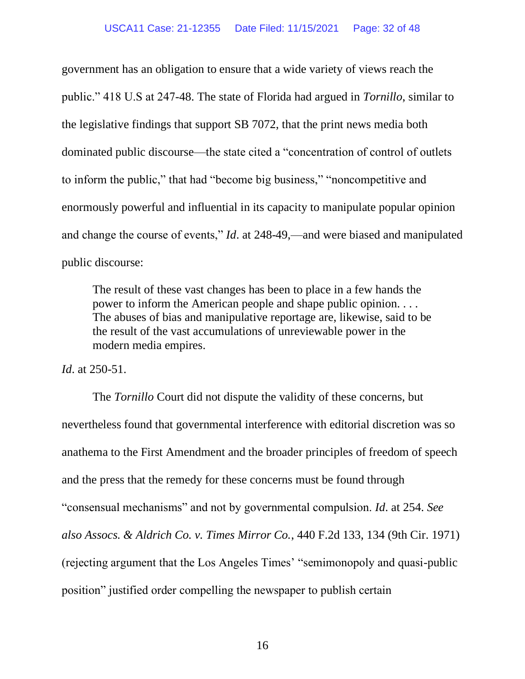government has an obligation to ensure that a wide variety of views reach the public." 418 U.S at 247-48. The state of Florida had argued in *Tornillo*, similar to the legislative findings that support SB 7072, that the print news media both dominated public discourse—the state cited a "concentration of control of outlets to inform the public," that had "become big business," "noncompetitive and enormously powerful and influential in its capacity to manipulate popular opinion and change the course of events," *Id*. at 248-49,—and were biased and manipulated public discourse:

The result of these vast changes has been to place in a few hands the power to inform the American people and shape public opinion. . . . The abuses of bias and manipulative reportage are, likewise, said to be the result of the vast accumulations of unreviewable power in the modern media empires.

*Id*. at 250-51.

The *Tornillo* Court did not dispute the validity of these concerns, but nevertheless found that governmental interference with editorial discretion was so anathema to the First Amendment and the broader principles of freedom of speech and the press that the remedy for these concerns must be found through "consensual mechanisms" and not by governmental compulsion. *Id*. at 254. *See also Assocs. & Aldrich Co. v. Times Mirror Co.*, 440 F.2d 133, 134 (9th Cir. 1971) (rejecting argument that the Los Angeles Times' "semimonopoly and quasi-public position" justified order compelling the newspaper to publish certain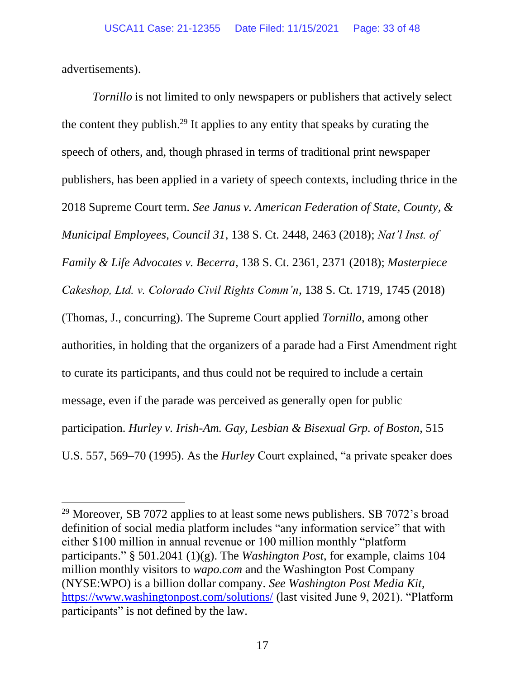advertisements).

*Tornillo* is not limited to only newspapers or publishers that actively select the content they publish.<sup>29</sup> It applies to any entity that speaks by curating the speech of others, and, though phrased in terms of traditional print newspaper publishers, has been applied in a variety of speech contexts, including thrice in the 2018 Supreme Court term*. See Janus v. American Federation of State, County, & Municipal Employees, Council 31*, 138 S. Ct. 2448, 2463 (2018); *Nat'l Inst. of Family & Life Advocates v. Becerra*, 138 S. Ct. 2361, 2371 (2018); *Masterpiece Cakeshop, Ltd. v. Colorado Civil Rights Comm'n*, 138 S. Ct. 1719, 1745 (2018) (Thomas, J., concurring). The Supreme Court applied *Tornillo*, among other authorities, in holding that the organizers of a parade had a First Amendment right to curate its participants, and thus could not be required to include a certain message, even if the parade was perceived as generally open for public participation. *Hurley v. Irish-Am. Gay, Lesbian & Bisexual Grp. of Boston*, 515 U.S. 557, 569–70 (1995). As the *Hurley* Court explained, "a private speaker does

<sup>&</sup>lt;sup>29</sup> Moreover, SB 7072 applies to at least some news publishers. SB 7072's broad definition of social media platform includes "any information service" that with either \$100 million in annual revenue or 100 million monthly "platform participants." § 501.2041 (1)(g). The *Washington Post*, for example, claims 104 million monthly visitors to *wapo.com* and the Washington Post Company (NYSE:WPO) is a billion dollar company. *See Washington Post Media Kit*, <https://www.washingtonpost.com/solutions/> (last visited June 9, 2021). "Platform participants" is not defined by the law.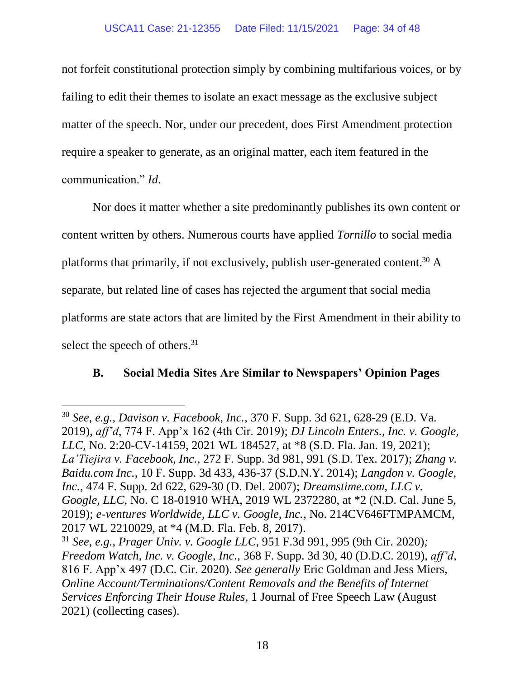not forfeit constitutional protection simply by combining multifarious voices, or by failing to edit their themes to isolate an exact message as the exclusive subject matter of the speech. Nor, under our precedent, does First Amendment protection require a speaker to generate, as an original matter, each item featured in the communication." *Id*.

Nor does it matter whether a site predominantly publishes its own content or content written by others. Numerous courts have applied *Tornillo* to social media platforms that primarily, if not exclusively, publish user-generated content.<sup>30</sup> A separate, but related line of cases has rejected the argument that social media platforms are state actors that are limited by the First Amendment in their ability to select the speech of others.<sup>31</sup>

# **B. Social Media Sites Are Similar to Newspapers' Opinion Pages**

<sup>30</sup> *See, e.g., Davison v. Facebook, Inc.*, 370 F. Supp. 3d 621, 628-29 (E.D. Va. 2019), *aff'd*, 774 F. App'x 162 (4th Cir. 2019); *DJ Lincoln Enters., Inc. v. Google, LLC*, No. 2:20-CV-14159, 2021 WL 184527, at \*8 (S.D. Fla. Jan. 19, 2021); *La'Tiejira v. Facebook, Inc.*, 272 F. Supp. 3d 981, 991 (S.D. Tex. 2017); *Zhang v. Baidu.com Inc.*, 10 F. Supp. 3d 433, 436-37 (S.D.N.Y. 2014); *Langdon v. Google, Inc.*, 474 F. Supp. 2d 622, 629-30 (D. Del. 2007); *Dreamstime.com, LLC v. Google, LLC*, No. C 18-01910 WHA, 2019 WL 2372280, at \*2 (N.D. Cal. June 5, 2019); *e-ventures Worldwide, LLC v. Google, Inc.*, No. 214CV646FTMPAMCM, 2017 WL 2210029, at \*4 (M.D. Fla. Feb. 8, 2017).

<sup>31</sup> *See, e.g.*, *Prager Univ. v. Google LLC*, 951 F.3d 991, 995 (9th Cir. 2020)*; Freedom Watch, Inc. v. Google, Inc.*, 368 F. Supp. 3d 30, 40 (D.D.C. 2019), *aff'd*, 816 F. App'x 497 (D.C. Cir. 2020). *See generally* Eric Goldman and Jess Miers, *Online Account/Terminations/Content Removals and the Benefits of Internet Services Enforcing Their House Rules*, 1 Journal of Free Speech Law (August 2021) (collecting cases).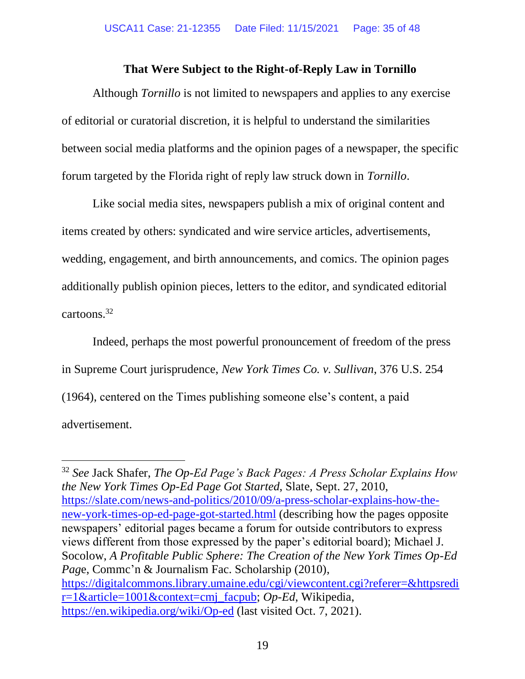## **That Were Subject to the Right-of-Reply Law in Tornillo**

Although *Tornillo* is not limited to newspapers and applies to any exercise of editorial or curatorial discretion, it is helpful to understand the similarities between social media platforms and the opinion pages of a newspaper, the specific forum targeted by the Florida right of reply law struck down in *Tornillo*.

Like social media sites, newspapers publish a mix of original content and items created by others: syndicated and wire service articles, advertisements, wedding, engagement, and birth announcements, and comics. The opinion pages additionally publish opinion pieces, letters to the editor, and syndicated editorial cartoons.<sup>32</sup>

Indeed, perhaps the most powerful pronouncement of freedom of the press in Supreme Court jurisprudence, *New York Times Co. v. Sullivan*, 376 U.S. 254 (1964), centered on the Times publishing someone else's content, a paid advertisement.

<sup>32</sup> *See* Jack Shafer, *The Op-Ed Page's Back Pages: A Press Scholar Explains How the New York Times Op-Ed Page Got Started*, Slate, Sept. 27, 2010, [https://slate.com/news-and-politics/2010/09/a-press-scholar-explains-how-the](https://slate.com/news-and-politics/2010/09/a-press-scholar-explains-how-the-new-york-times-op-ed-page-got-started.html)[new-york-times-op-ed-page-got-started.html](https://slate.com/news-and-politics/2010/09/a-press-scholar-explains-how-the-new-york-times-op-ed-page-got-started.html) (describing how the pages opposite newspapers' editorial pages became a forum for outside contributors to express views different from those expressed by the paper's editorial board); Michael J. Socolow, *A Profitable Public Sphere: The Creation of the New York Times Op-Ed Pag*e, Commc'n & Journalism Fac. Scholarship (2010), [https://digitalcommons.library.umaine.edu/cgi/viewcontent.cgi?referer=&httpsredi](https://digitalcommons.library.umaine.edu/cgi/viewcontent.cgi?referer=&httpsredir=1&article=1001&context=cmj_facpub) [r=1&article=1001&context=cmj\\_facpub;](https://digitalcommons.library.umaine.edu/cgi/viewcontent.cgi?referer=&httpsredir=1&article=1001&context=cmj_facpub) *Op-Ed*, Wikipedia, <https://en.wikipedia.org/wiki/Op-ed> (last visited Oct. 7, 2021).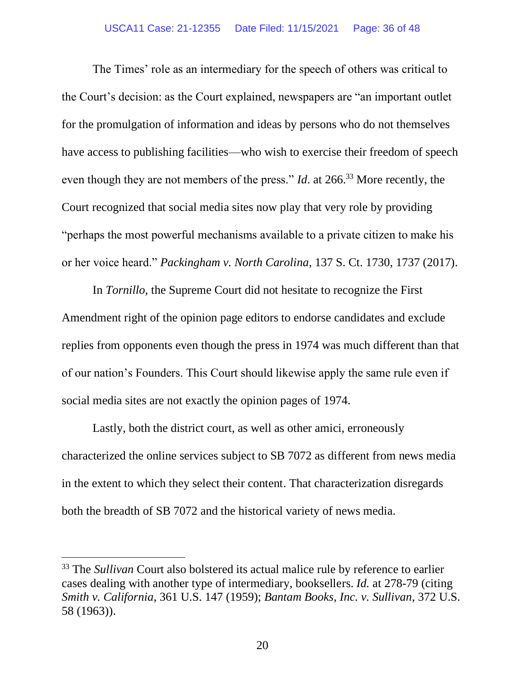The Times' role as an intermediary for the speech of others was critical to the Court's decision: as the Court explained, newspapers are "an important outlet for the promulgation of information and ideas by persons who do not themselves have access to publishing facilities—who wish to exercise their freedom of speech even though they are not members of the press." *Id*. at 266.<sup>33</sup> More recently, the Court recognized that social media sites now play that very role by providing "perhaps the most powerful mechanisms available to a private citizen to make his or her voice heard." *Packingham v. North Carolina*, 137 S. Ct. 1730, 1737 (2017).

In *Tornillo*, the Supreme Court did not hesitate to recognize the First Amendment right of the opinion page editors to endorse candidates and exclude replies from opponents even though the press in 1974 was much different than that of our nation's Founders. This Court should likewise apply the same rule even if social media sites are not exactly the opinion pages of 1974.

Lastly, both the district court, as well as other amici, erroneously characterized the online services subject to SB 7072 as different from news media in the extent to which they select their content. That characterization disregards both the breadth of SB 7072 and the historical variety of news media.

<sup>&</sup>lt;sup>33</sup> The *Sullivan* Court also bolstered its actual malice rule by reference to earlier cases dealing with another type of intermediary, booksellers. *Id.* at 278-79 (citing *Smith v. California*, 361 U.S. 147 (1959); *Bantam Books, Inc. v. Sullivan*, 372 U.S. 58 (1963)).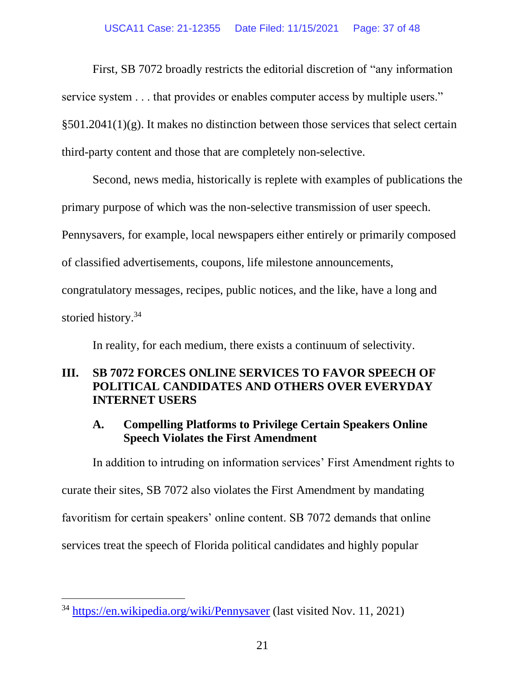### USCA11 Case: 21-12355 Date Filed: 11/15/2021 Page: 37 of 48

First, SB 7072 broadly restricts the editorial discretion of "any information

service system . . . that provides or enables computer access by multiple users."

§501.2041(1)(g). It makes no distinction between those services that select certain

third-party content and those that are completely non-selective.

Second, news media, historically is replete with examples of publications the primary purpose of which was the non-selective transmission of user speech. Pennysavers, for example, local newspapers either entirely or primarily composed of classified advertisements, coupons, life milestone announcements, congratulatory messages, recipes, public notices, and the like, have a long and storied history.<sup>34</sup>

In reality, for each medium, there exists a continuum of selectivity.

# **III. SB 7072 FORCES ONLINE SERVICES TO FAVOR SPEECH OF POLITICAL CANDIDATES AND OTHERS OVER EVERYDAY INTERNET USERS**

# **A. Compelling Platforms to Privilege Certain Speakers Online Speech Violates the First Amendment**

In addition to intruding on information services' First Amendment rights to curate their sites, SB 7072 also violates the First Amendment by mandating favoritism for certain speakers' online content. SB 7072 demands that online services treat the speech of Florida political candidates and highly popular

<sup>34</sup> <https://en.wikipedia.org/wiki/Pennysaver> (last visited Nov. 11, 2021)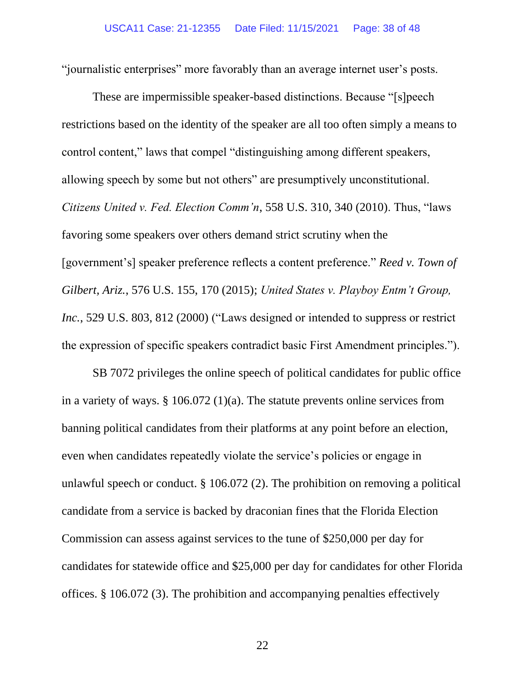"journalistic enterprises" more favorably than an average internet user's posts.

These are impermissible speaker-based distinctions. Because "[s]peech restrictions based on the identity of the speaker are all too often simply a means to control content," laws that compel "distinguishing among different speakers, allowing speech by some but not others" are presumptively unconstitutional. *Citizens United v. Fed. Election Comm'n*, 558 U.S. 310, 340 (2010). Thus, "laws favoring some speakers over others demand strict scrutiny when the [government's] speaker preference reflects a content preference." *Reed v. Town of Gilbert, Ariz.*, 576 U.S. 155, 170 (2015); *United States v. Playboy Entm't Group, Inc.*, 529 U.S. 803, 812 (2000) ("Laws designed or intended to suppress or restrict the expression of specific speakers contradict basic First Amendment principles.").

SB 7072 privileges the online speech of political candidates for public office in a variety of ways. § 106.072 (1)(a). The statute prevents online services from banning political candidates from their platforms at any point before an election, even when candidates repeatedly violate the service's policies or engage in unlawful speech or conduct. § 106.072 (2). The prohibition on removing a political candidate from a service is backed by draconian fines that the Florida Election Commission can assess against services to the tune of \$250,000 per day for candidates for statewide office and \$25,000 per day for candidates for other Florida offices. § 106.072 (3). The prohibition and accompanying penalties effectively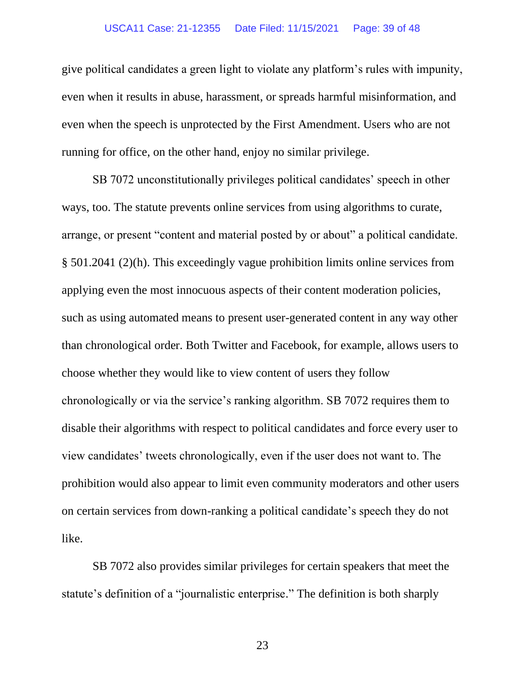### USCA11 Case: 21-12355 Date Filed: 11/15/2021 Page: 39 of 48

give political candidates a green light to violate any platform's rules with impunity, even when it results in abuse, harassment, or spreads harmful misinformation, and even when the speech is unprotected by the First Amendment. Users who are not running for office, on the other hand, enjoy no similar privilege.

SB 7072 unconstitutionally privileges political candidates' speech in other ways, too. The statute prevents online services from using algorithms to curate, arrange, or present "content and material posted by or about" a political candidate. § 501.2041 (2)(h). This exceedingly vague prohibition limits online services from applying even the most innocuous aspects of their content moderation policies, such as using automated means to present user-generated content in any way other than chronological order. Both Twitter and Facebook, for example, allows users to choose whether they would like to view content of users they follow chronologically or via the service's ranking algorithm. SB 7072 requires them to disable their algorithms with respect to political candidates and force every user to view candidates' tweets chronologically, even if the user does not want to. The prohibition would also appear to limit even community moderators and other users on certain services from down-ranking a political candidate's speech they do not like.

SB 7072 also provides similar privileges for certain speakers that meet the statute's definition of a "journalistic enterprise." The definition is both sharply

23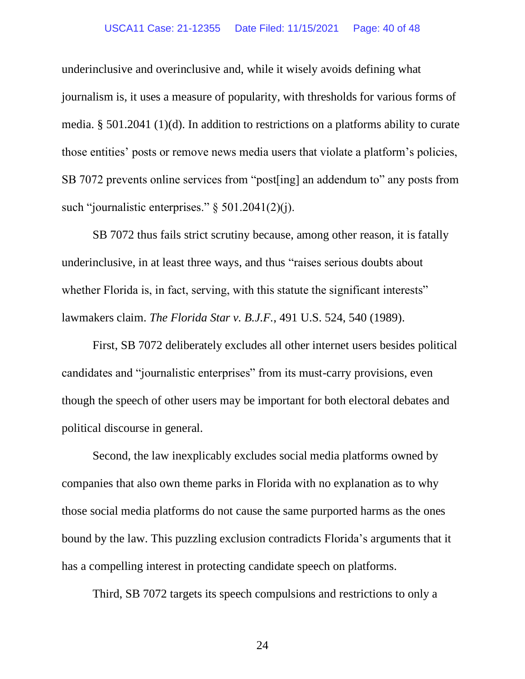#### USCA11 Case: 21-12355 Date Filed: 11/15/2021 Page: 40 of 48

underinclusive and overinclusive and, while it wisely avoids defining what journalism is, it uses a measure of popularity, with thresholds for various forms of media. § 501.2041 (1)(d). In addition to restrictions on a platforms ability to curate those entities' posts or remove news media users that violate a platform's policies, SB 7072 prevents online services from "post[ing] an addendum to" any posts from such "journalistic enterprises." § 501.2041(2)(j).

SB 7072 thus fails strict scrutiny because, among other reason, it is fatally underinclusive, in at least three ways, and thus "raises serious doubts about whether Florida is, in fact, serving, with this statute the significant interests" lawmakers claim. *The Florida Star v. B.J.F.*, 491 U.S. 524, 540 (1989).

First, SB 7072 deliberately excludes all other internet users besides political candidates and "journalistic enterprises" from its must-carry provisions, even though the speech of other users may be important for both electoral debates and political discourse in general.

Second, the law inexplicably excludes social media platforms owned by companies that also own theme parks in Florida with no explanation as to why those social media platforms do not cause the same purported harms as the ones bound by the law. This puzzling exclusion contradicts Florida's arguments that it has a compelling interest in protecting candidate speech on platforms.

Third, SB 7072 targets its speech compulsions and restrictions to only a

24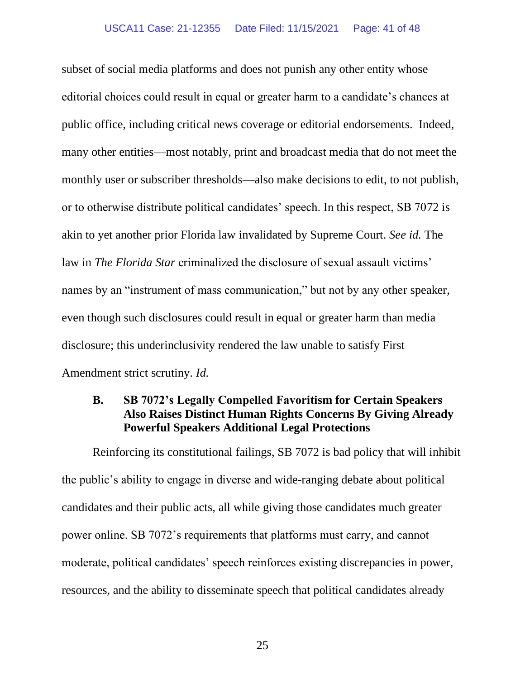subset of social media platforms and does not punish any other entity whose editorial choices could result in equal or greater harm to a candidate's chances at public office, including critical news coverage or editorial endorsements. Indeed, many other entities—most notably, print and broadcast media that do not meet the monthly user or subscriber thresholds—also make decisions to edit, to not publish, or to otherwise distribute political candidates' speech. In this respect, SB 7072 is akin to yet another prior Florida law invalidated by Supreme Court. *See id.* The law in *The Florida Star* criminalized the disclosure of sexual assault victims' names by an "instrument of mass communication," but not by any other speaker, even though such disclosures could result in equal or greater harm than media disclosure; this underinclusivity rendered the law unable to satisfy First Amendment strict scrutiny. *Id.*

# **B. SB 7072's Legally Compelled Favoritism for Certain Speakers Also Raises Distinct Human Rights Concerns By Giving Already Powerful Speakers Additional Legal Protections**

Reinforcing its constitutional failings, SB 7072 is bad policy that will inhibit the public's ability to engage in diverse and wide-ranging debate about political candidates and their public acts, all while giving those candidates much greater power online. SB 7072's requirements that platforms must carry, and cannot moderate, political candidates' speech reinforces existing discrepancies in power, resources, and the ability to disseminate speech that political candidates already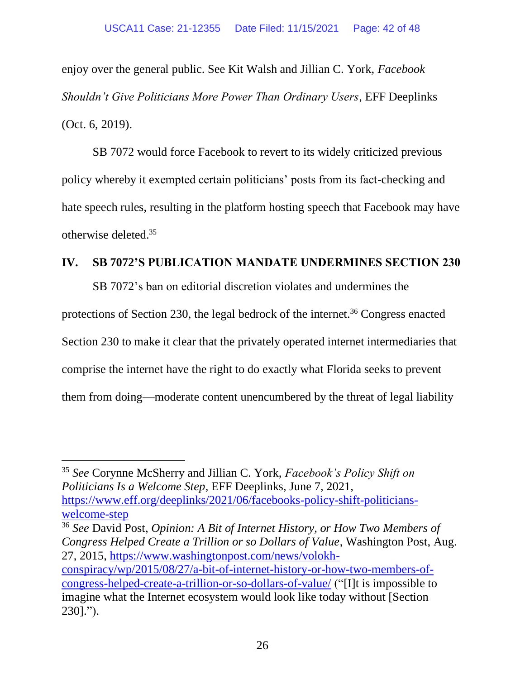enjoy over the general public. See Kit Walsh and Jillian C. York, *Facebook Shouldn't Give Politicians More Power Than Ordinary Users*, EFF Deeplinks (Oct. 6, 2019).

SB 7072 would force Facebook to revert to its widely criticized previous policy whereby it exempted certain politicians' posts from its fact-checking and hate speech rules, resulting in the platform hosting speech that Facebook may have otherwise deleted. 35

## **IV. SB 7072'S PUBLICATION MANDATE UNDERMINES SECTION 230**

SB 7072's ban on editorial discretion violates and undermines the

protections of Section 230, the legal bedrock of the internet.<sup>36</sup> Congress enacted

Section 230 to make it clear that the privately operated internet intermediaries that

comprise the internet have the right to do exactly what Florida seeks to prevent

them from doing—moderate content unencumbered by the threat of legal liability

<sup>35</sup> *See* Corynne McSherry and Jillian C. York, *Facebook's Policy Shift on Politicians Is a Welcome Step*, EFF Deeplinks, June 7, 2021, [https://www.eff.org/deeplinks/2021/06/facebooks-policy-shift-politicians](https://www.eff.org/deeplinks/2021/06/facebooks-policy-shift-politicians-welcome-step)[welcome-step](https://www.eff.org/deeplinks/2021/06/facebooks-policy-shift-politicians-welcome-step)

<sup>36</sup> *See* David Post, *Opinion: A Bit of Internet History, or How Two Members of Congress Helped Create a Trillion or so Dollars of Value*, Washington Post, Aug. 27, 2015, [https://www.washingtonpost.com/news/volokh](https://www.washingtonpost.com/news/volokh-conspiracy/wp/2015/08/27/a-bit-of-internet-history-or-how-two-members-of-congress-helped-create-a-trillion-or-so-dollars-of-value/)[conspiracy/wp/2015/08/27/a-bit-of-internet-history-or-how-two-members-of](https://www.washingtonpost.com/news/volokh-conspiracy/wp/2015/08/27/a-bit-of-internet-history-or-how-two-members-of-congress-helped-create-a-trillion-or-so-dollars-of-value/)[congress-helped-create-a-trillion-or-so-dollars-of-value/](https://www.washingtonpost.com/news/volokh-conspiracy/wp/2015/08/27/a-bit-of-internet-history-or-how-two-members-of-congress-helped-create-a-trillion-or-so-dollars-of-value/) ("[I]t is impossible to imagine what the Internet ecosystem would look like today without [Section 230].").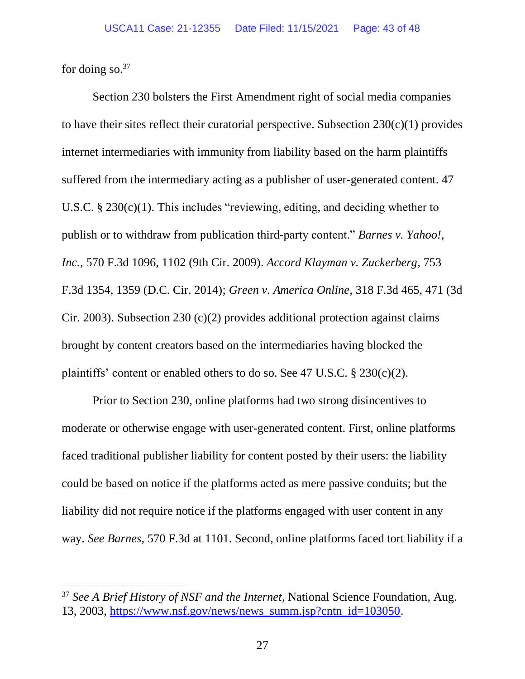for doing so. $37$ 

Section 230 bolsters the First Amendment right of social media companies to have their sites reflect their curatorial perspective. Subsection  $230(c)(1)$  provides internet intermediaries with immunity from liability based on the harm plaintiffs suffered from the intermediary acting as a publisher of user-generated content. 47 U.S.C. § 230(c)(1). This includes "reviewing, editing, and deciding whether to publish or to withdraw from publication third-party content." *Barnes v. Yahoo!, Inc.*, 570 F.3d 1096, 1102 (9th Cir. 2009). *Accord Klayman v. Zuckerberg*, 753 F.3d 1354, 1359 (D.C. Cir. 2014); *Green v. America Online*, 318 F.3d 465, 471 (3d Cir. 2003). Subsection 230 (c)(2) provides additional protection against claims brought by content creators based on the intermediaries having blocked the plaintiffs' content or enabled others to do so. See 47 U.S.C. § 230(c)(2).

Prior to Section 230, online platforms had two strong disincentives to moderate or otherwise engage with user-generated content. First, online platforms faced traditional publisher liability for content posted by their users: the liability could be based on notice if the platforms acted as mere passive conduits; but the liability did not require notice if the platforms engaged with user content in any way. *See Barnes*, 570 F.3d at 1101. Second, online platforms faced tort liability if a

<sup>37</sup> *See A Brief History of NSF and the Internet*, National Science Foundation, Aug. 13, 2003, [https://www.nsf.gov/news/news\\_summ.jsp?cntn\\_id=103050.](https://www.nsf.gov/news/news_summ.jsp?cntn_id=103050)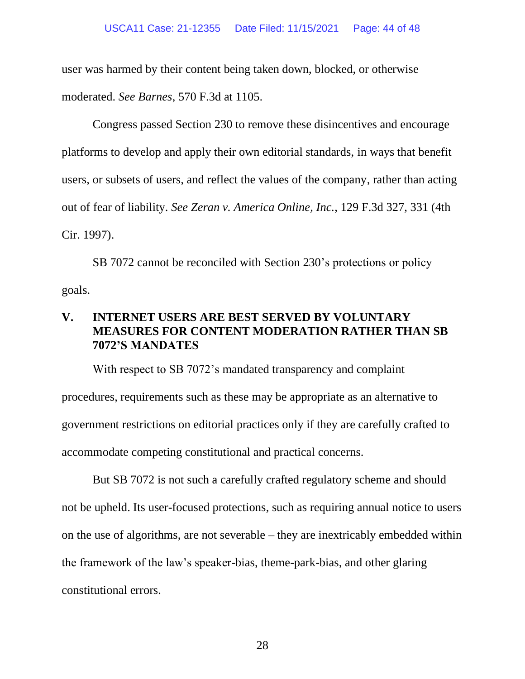user was harmed by their content being taken down, blocked, or otherwise moderated. *See Barnes*, 570 F.3d at 1105.

Congress passed Section 230 to remove these disincentives and encourage platforms to develop and apply their own editorial standards, in ways that benefit users, or subsets of users, and reflect the values of the company, rather than acting out of fear of liability. *See Zeran v. America Online, Inc.*, 129 F.3d 327, 331 (4th Cir. 1997).

SB 7072 cannot be reconciled with Section 230's protections or policy goals.

# **V. INTERNET USERS ARE BEST SERVED BY VOLUNTARY MEASURES FOR CONTENT MODERATION RATHER THAN SB 7072'S MANDATES**

With respect to SB 7072's mandated transparency and complaint procedures, requirements such as these may be appropriate as an alternative to government restrictions on editorial practices only if they are carefully crafted to accommodate competing constitutional and practical concerns.

But SB 7072 is not such a carefully crafted regulatory scheme and should not be upheld. Its user-focused protections, such as requiring annual notice to users on the use of algorithms, are not severable – they are inextricably embedded within the framework of the law's speaker-bias, theme-park-bias, and other glaring constitutional errors.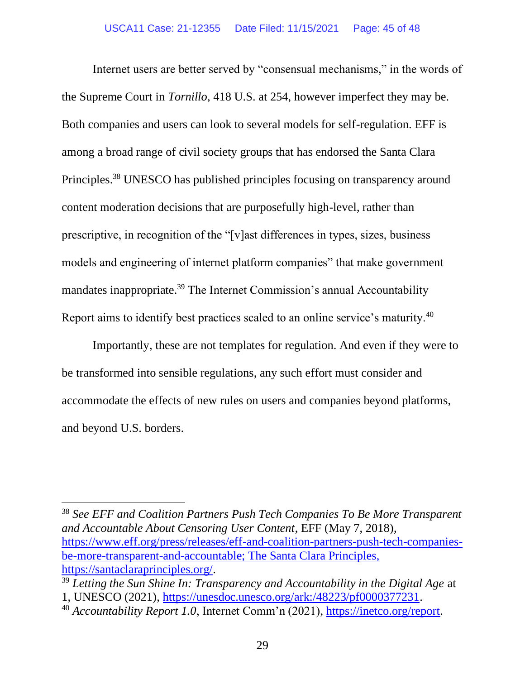Internet users are better served by "consensual mechanisms," in the words of the Supreme Court in *Tornillo*, 418 U.S. at 254, however imperfect they may be. Both companies and users can look to several models for self-regulation. EFF is among a broad range of civil society groups that has endorsed the Santa Clara Principles.<sup>38</sup> UNESCO has published principles focusing on transparency around content moderation decisions that are purposefully high-level, rather than prescriptive, in recognition of the "[v]ast differences in types, sizes, business models and engineering of internet platform companies" that make government mandates inappropriate.<sup>39</sup> The Internet Commission's annual Accountability Report aims to identify best practices scaled to an online service's maturity.<sup>40</sup>

Importantly, these are not templates for regulation. And even if they were to be transformed into sensible regulations, any such effort must consider and accommodate the effects of new rules on users and companies beyond platforms, and beyond U.S. borders.

<sup>38</sup> *See EFF and Coalition Partners Push Tech Companies To Be More Transparent and Accountable About Censoring User Content*, EFF (May 7, 2018), [https://www.eff.org/press/releases/eff-and-coalition-partners-push-tech-companies](https://www.eff.org/press/releases/eff-and-coalition-partners-push-tech-companies-be-more-transparent-and-accountable;%20The%20Santa%20Clara%20Principles,%20https:/santaclaraprinciples.org/%20(last%20visited%20Oct.%207,%202021))[be-more-transparent-and-accountable; The Santa Clara Principles,](https://www.eff.org/press/releases/eff-and-coalition-partners-push-tech-companies-be-more-transparent-and-accountable;%20The%20Santa%20Clara%20Principles,%20https:/santaclaraprinciples.org/%20(last%20visited%20Oct.%207,%202021))  [https://santaclaraprinciples.org/.](https://www.eff.org/press/releases/eff-and-coalition-partners-push-tech-companies-be-more-transparent-and-accountable;%20The%20Santa%20Clara%20Principles,%20https:/santaclaraprinciples.org/%20(last%20visited%20Oct.%207,%202021))

<sup>39</sup> *Letting the Sun Shine In: Transparency and Accountability in the Digital Age* at 1, UNESCO (2021), [https://unesdoc.unesco.org/ark:/48223/pf0000377231.](https://unesdoc.unesco.org/ark:/48223/pf0000377231)

<sup>40</sup> *Accountability Report 1.0*, Internet Comm'n (2021), [https://inetco.org/report.](https://inetco.org/report)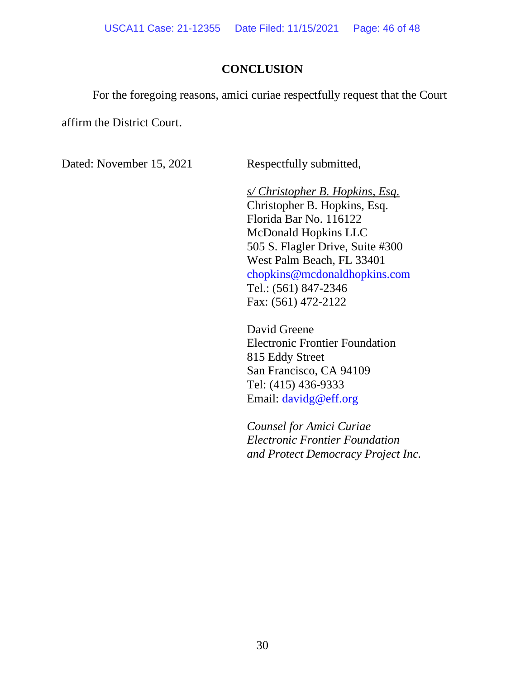## **CONCLUSION**

For the foregoing reasons, amici curiae respectfully request that the Court

affirm the District Court.

Dated: November 15, 2021 Respectfully submitted,

*s/ Christopher B. Hopkins, Esq.* Christopher B. Hopkins, Esq. Florida Bar No. 116122 McDonald Hopkins LLC 505 S. Flagler Drive, Suite #300 West Palm Beach, FL 33401 [chopkins@mcdonaldhopkins.com](mailto:chopkins@mcdonaldhopkins.com) Tel.: (561) 847-2346 Fax: (561) 472-2122

David Greene Electronic Frontier Foundation 815 Eddy Street San Francisco, CA 94109 Tel: (415) 436-9333 Email: [davidg@eff.org](mailto:davidg@eff.org)

*Counsel for Amici Curiae Electronic Frontier Foundation and Protect Democracy Project Inc.*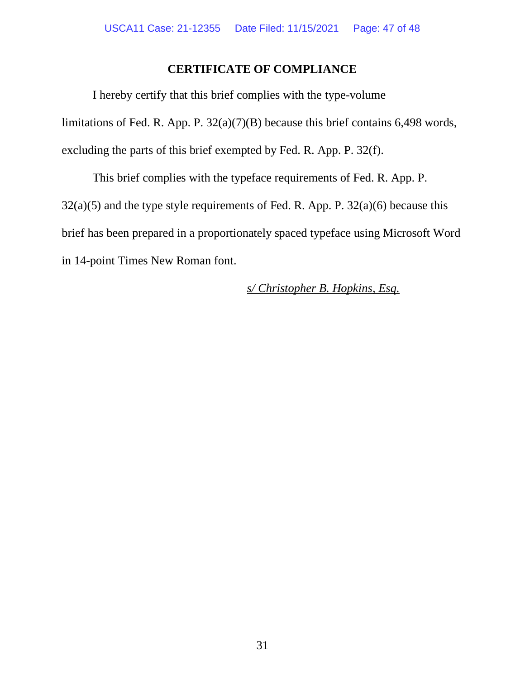# **CERTIFICATE OF COMPLIANCE**

I hereby certify that this brief complies with the type-volume limitations of Fed. R. App. P. 32(a)(7)(B) because this brief contains 6,498 words, excluding the parts of this brief exempted by Fed. R. App. P. 32(f).

This brief complies with the typeface requirements of Fed. R. App. P.  $32(a)(5)$  and the type style requirements of Fed. R. App. P.  $32(a)(6)$  because this brief has been prepared in a proportionately spaced typeface using Microsoft Word in 14-point Times New Roman font.

*s/ Christopher B. Hopkins, Esq.*